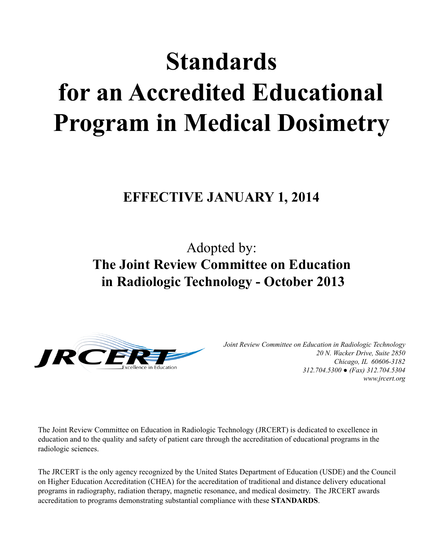# **Standards for an Accredited Educational Program in Medical Dosimetry**

# **EFFECTIVE JANUARY 1, 2014**

Adopted by: **The Joint Review Committee on Education in Radiologic Technology - October 2013**



*Joint Review Committee on Education in Radiologic Technology 20 N. Wacker Drive, Suite 2850 Chicago, IL 60606-3182 312.704.5300 ● (Fax) 312.704.5304 www.jrcert.org*

The Joint Review Committee on Education in Radiologic Technology (JRCERT) is dedicated to excellence in education and to the quality and safety of patient care through the accreditation of educational programs in the radiologic sciences.

The JRCERT is the only agency recognized by the United States Department of Education (USDE) and the Council on Higher Education Accreditation (CHEA) for the accreditation of traditional and distance delivery educational programs in radiography, radiation therapy, magnetic resonance, and medical dosimetry. The JRCERT awards accreditation to programs demonstrating substantial compliance with these **STANDARDS**.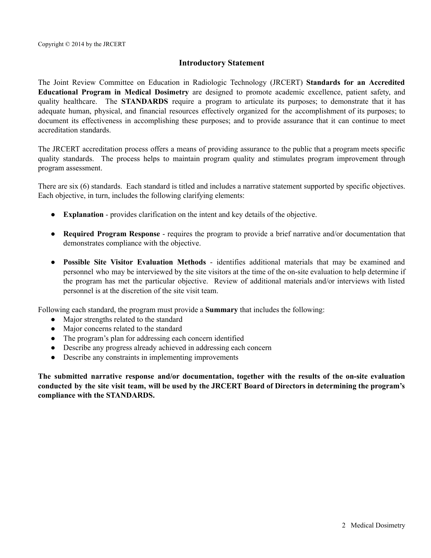#### **Introductory Statement**

The Joint Review Committee on Education in Radiologic Technology (JRCERT) **Standards for an Accredited Educational Program in Medical Dosimetry** are designed to promote academic excellence, patient safety, and quality healthcare. The **STANDARDS** require a program to articulate its purposes; to demonstrate that it has adequate human, physical, and financial resources effectively organized for the accomplishment of its purposes; to document its effectiveness in accomplishing these purposes; and to provide assurance that it can continue to meet accreditation standards.

The JRCERT accreditation process offers a means of providing assurance to the public that a program meets specific quality standards. The process helps to maintain program quality and stimulates program improvement through program assessment.

There are six (6) standards. Each standard is titled and includes a narrative statement supported by specific objectives. Each objective, in turn, includes the following clarifying elements:

- **Explanation** provides clarification on the intent and key details of the objective.
- **Required Program Response** requires the program to provide a brief narrative and/or documentation that demonstrates compliance with the objective.
- **Possible Site Visitor Evaluation Methods** identifies additional materials that may be examined and personnel who may be interviewed by the site visitors at the time of the on-site evaluation to help determine if the program has met the particular objective. Review of additional materials and/or interviews with listed personnel is at the discretion of the site visit team.

Following each standard, the program must provide a **Summary** that includes the following:

- Major strengths related to the standard
- Major concerns related to the standard
- The program's plan for addressing each concern identified
- Describe any progress already achieved in addressing each concern
- Describe any constraints in implementing improvements

**The submitted narrative response and/or documentation, together with the results of the on-site evaluation** conducted by the site visit team, will be used by the JRCERT Board of Directors in determining the program's **compliance with the STANDARDS.**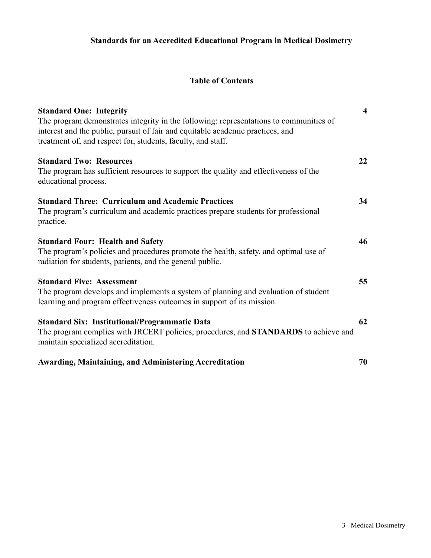# **Standards for an Accredited Educational Program in Medical Dosimetry**

# **Table of Contents**

| <b>Standard One: Integrity</b>                                                                                                                               | $\overline{\mathbf{4}}$ |
|--------------------------------------------------------------------------------------------------------------------------------------------------------------|-------------------------|
| The program demonstrates integrity in the following: representations to communities of                                                                       |                         |
| interest and the public, pursuit of fair and equitable academic practices, and                                                                               |                         |
| treatment of, and respect for, students, faculty, and staff.                                                                                                 |                         |
| <b>Standard Two: Resources</b>                                                                                                                               | 22                      |
| The program has sufficient resources to support the quality and effectiveness of the<br>educational process.                                                 |                         |
| <b>Standard Three: Curriculum and Academic Practices</b>                                                                                                     | 34                      |
| The program's curriculum and academic practices prepare students for professional<br>practice.                                                               |                         |
| <b>Standard Four: Health and Safety</b>                                                                                                                      | 46                      |
| The program's policies and procedures promote the health, safety, and optimal use of<br>radiation for students, patients, and the general public.            |                         |
| <b>Standard Five: Assessment</b>                                                                                                                             | 55                      |
| The program develops and implements a system of planning and evaluation of student<br>learning and program effectiveness outcomes in support of its mission. |                         |
| <b>Standard Six: Institutional/Programmatic Data</b>                                                                                                         | 62                      |
| The program complies with JRCERT policies, procedures, and <b>STANDARDS</b> to achieve and<br>maintain specialized accreditation.                            |                         |
| <b>Awarding, Maintaining, and Administering Accreditation</b>                                                                                                | 70                      |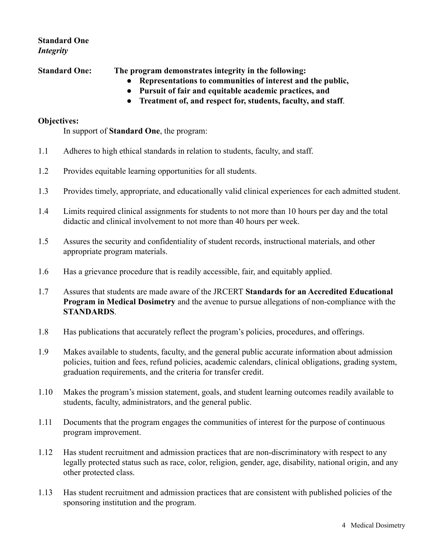# **Standard One** *Integrity*

**Standard One: The program demonstrates integrity in the following:**

- **Representations to communities of interest and the public,**
- **Pursuit of fair and equitable academic practices, and**
- **Treatment of, and respect for, students, faculty, and staff**.

## **Objectives:**

In support of **Standard One**, the program:

- 1.1 Adheres to high ethical standards in relation to students, faculty, and staff.
- 1.2 Provides equitable learning opportunities for all students.
- 1.3 Provides timely, appropriate, and educationally valid clinical experiences for each admitted student.
- 1.4 Limits required clinical assignments for students to not more than 10 hours per day and the total didactic and clinical involvement to not more than 40 hours per week.
- 1.5 Assures the security and confidentiality of student records, instructional materials, and other appropriate program materials.
- 1.6 Has a grievance procedure that is readily accessible, fair, and equitably applied.
- 1.7 Assures that students are made aware of the JRCERT **Standards for an Accredited Educational Program in Medical Dosimetry** and the avenue to pursue allegations of non-compliance with the **STANDARDS**.
- 1.8 Has publications that accurately reflect the program's policies, procedures, and offerings.
- 1.9 Makes available to students, faculty, and the general public accurate information about admission policies, tuition and fees, refund policies, academic calendars, clinical obligations, grading system, graduation requirements, and the criteria for transfer credit.
- 1.10 Makes the program's mission statement, goals, and student learning outcomes readily available to students, faculty, administrators, and the general public.
- 1.11 Documents that the program engages the communities of interest for the purpose of continuous program improvement.
- 1.12 Has student recruitment and admission practices that are non-discriminatory with respect to any legally protected status such as race, color, religion, gender, age, disability, national origin, and any other protected class.
- 1.13 Has student recruitment and admission practices that are consistent with published policies of the sponsoring institution and the program.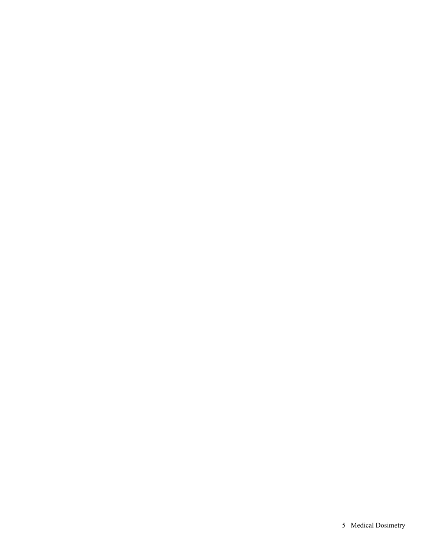Medical Dosimetry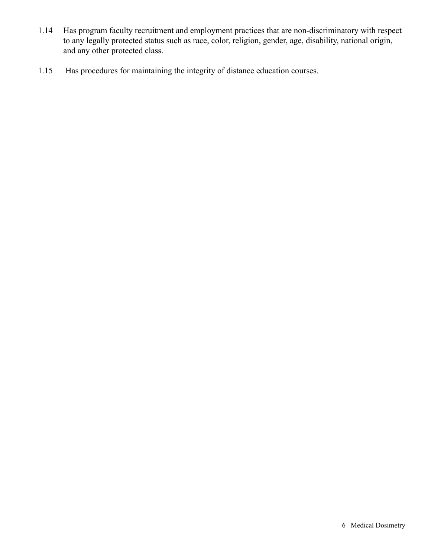- 1.14 Has program faculty recruitment and employment practices that are non-discriminatory with respect to any legally protected status such as race, color, religion, gender, age, disability, national origin, and any other protected class.
- 1.15 Has procedures for maintaining the integrity of distance education courses.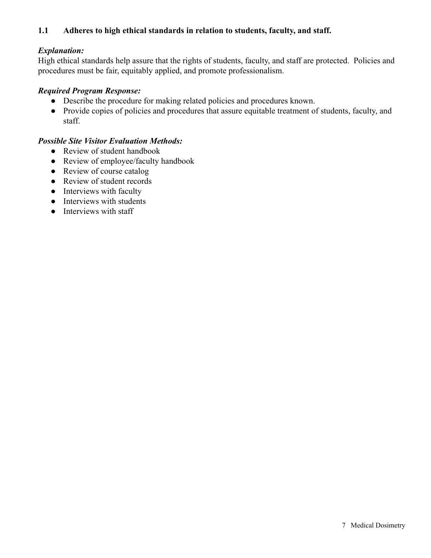# **1.1 Adheres to high ethical standards in relation to students, faculty, and staff.**

# *Explanation:*

High ethical standards help assure that the rights of students, faculty, and staff are protected. Policies and procedures must be fair, equitably applied, and promote professionalism.

## *Required Program Response:*

- Describe the procedure for making related policies and procedures known.
- Provide copies of policies and procedures that assure equitable treatment of students, faculty, and staff.

- Review of student handbook
- Review of employee/faculty handbook
- Review of course catalog
- Review of student records
- Interviews with faculty
- Interviews with students
- Interviews with staff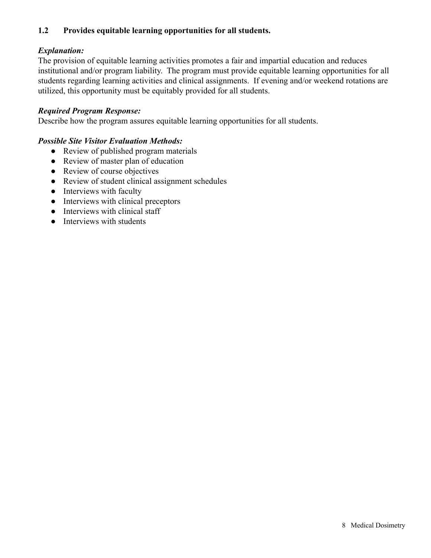# **1.2 Provides equitable learning opportunities for all students.**

# *Explanation:*

The provision of equitable learning activities promotes a fair and impartial education and reduces institutional and/or program liability. The program must provide equitable learning opportunities for all students regarding learning activities and clinical assignments. If evening and/or weekend rotations are utilized, this opportunity must be equitably provided for all students.

# *Required Program Response:*

Describe how the program assures equitable learning opportunities for all students.

- Review of published program materials
- Review of master plan of education
- Review of course objectives
- Review of student clinical assignment schedules
- Interviews with faculty
- Interviews with clinical preceptors
- Interviews with clinical staff
- Interviews with students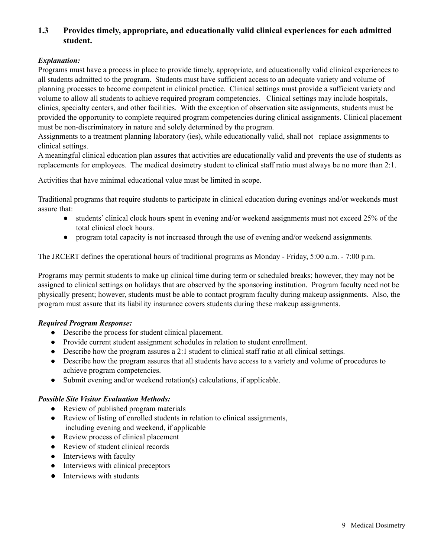# **1.3 Provides timely, appropriate, and educationally valid clinical experiences for each admitted student.**

#### *Explanation:*

Programs must have a process in place to provide timely, appropriate, and educationally valid clinical experiences to all students admitted to the program. Students must have sufficient access to an adequate variety and volume of planning processes to become competent in clinical practice. Clinical settings must provide a sufficient variety and volume to allow all students to achieve required program competencies. Clinical settings may include hospitals, clinics, specialty centers, and other facilities. With the exception of observation site assignments, students must be provided the opportunity to complete required program competencies during clinical assignments. Clinical placement must be non-discriminatory in nature and solely determined by the program.

Assignments to a treatment planning laboratory (ies), while educationally valid, shall not replace assignments to clinical settings.

A meaningful clinical education plan assures that activities are educationally valid and prevents the use of students as replacements for employees. The medical dosimetry student to clinical staff ratio must always be no more than 2:1.

Activities that have minimal educational value must be limited in scope.

Traditional programs that require students to participate in clinical education during evenings and/or weekends must assure that:

- students' clinical clock hours spent in evening and/or weekend assignments must not exceed 25% of the total clinical clock hours.
- program total capacity is not increased through the use of evening and/or weekend assignments.

The JRCERT defines the operational hours of traditional programs as Monday - Friday, 5:00 a.m. - 7:00 p.m.

Programs may permit students to make up clinical time during term or scheduled breaks; however, they may not be assigned to clinical settings on holidays that are observed by the sponsoring institution. Program faculty need not be physically present; however, students must be able to contact program faculty during makeup assignments. Also, the program must assure that its liability insurance covers students during these makeup assignments.

#### *Required Program Response:*

- Describe the process for student clinical placement.
- Provide current student assignment schedules in relation to student enrollment.
- Describe how the program assures a 2:1 student to clinical staff ratio at all clinical settings.
- Describe how the program assures that all students have access to a variety and volume of procedures to achieve program competencies.
- Submit evening and/or weekend rotation(s) calculations, if applicable.

- Review of published program materials
- Review of listing of enrolled students in relation to clinical assignments, including evening and weekend, if applicable
- Review process of clinical placement
- Review of student clinical records
- Interviews with faculty
- Interviews with clinical preceptors
- Interviews with students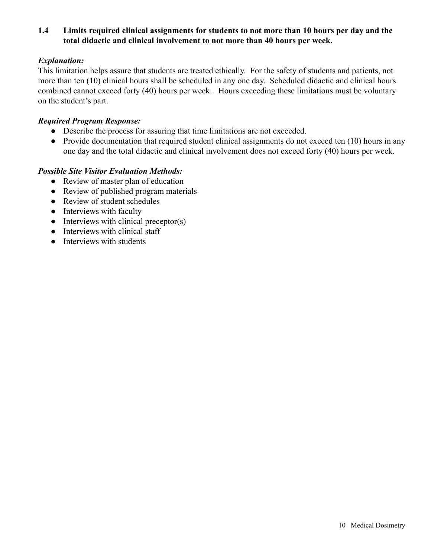# **1.4 Limits required clinical assignments for students to not more than 10 hours per day and the total didactic and clinical involvement to not more than 40 hours per week.**

# *Explanation:*

This limitation helps assure that students are treated ethically. For the safety of students and patients, not more than ten (10) clinical hours shall be scheduled in any one day. Scheduled didactic and clinical hours combined cannot exceed forty (40) hours per week. Hours exceeding these limitations must be voluntary on the student's part.

# *Required Program Response:*

- Describe the process for assuring that time limitations are not exceeded.
- Provide documentation that required student clinical assignments do not exceed ten (10) hours in any one day and the total didactic and clinical involvement does not exceed forty (40) hours per week.

- Review of master plan of education
- Review of published program materials
- Review of student schedules
- Interviews with faculty
- $\bullet$  Interviews with clinical preceptor(s)
- Interviews with clinical staff
- Interviews with students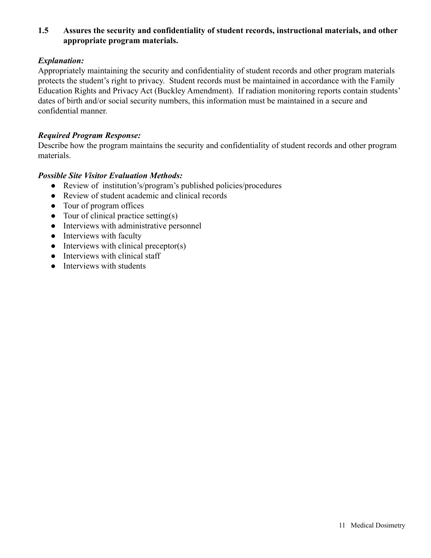# **1.5 Assures the security and confidentiality of student records, instructional materials, and other appropriate program materials.**

# *Explanation:*

Appropriately maintaining the security and confidentiality of student records and other program materials protects the student's right to privacy. Student records must be maintained in accordance with the Family Education Rights and Privacy Act (Buckley Amendment). If radiation monitoring reports contain students' dates of birth and/or social security numbers, this information must be maintained in a secure and confidential manner.

# *Required Program Response:*

Describe how the program maintains the security and confidentiality of student records and other program materials.

- Review of institution's/program's published policies/procedures
- Review of student academic and clinical records
- Tour of program offices
- $\bullet$  Tour of clinical practice setting(s)
- Interviews with administrative personnel
- Interviews with faculty
- $\bullet$  Interviews with clinical preceptor(s)
- Interviews with clinical staff
- Interviews with students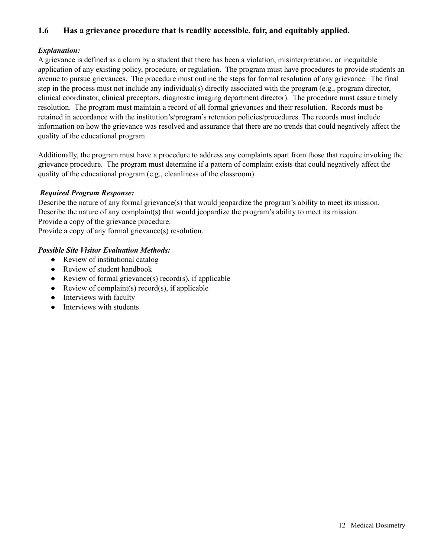# **1.6 Has a grievance procedure that is readily accessible, fair, and equitably applied.**

## *Explanation:*

A grievance is defined as a claim by a student that there has been a violation, misinterpretation, or inequitable application of any existing policy, procedure, or regulation. The program must have procedures to provide students an avenue to pursue grievances. The procedure must outline the steps for formal resolution of any grievance. The final step in the process must not include any individual(s) directly associated with the program (e.g., program director, clinical coordinator, clinical preceptors, diagnostic imaging department director). The procedure must assure timely resolution. The program must maintain a record of all formal grievances and their resolution. Records must be retained in accordance with the institution's/program's retention policies/procedures. The records must include information on how the grievance was resolved and assurance that there are no trends that could negatively affect the quality of the educational program.

Additionally, the program must have a procedure to address any complaints apart from those that require invoking the grievance procedure. The program must determine if a pattern of complaint exists that could negatively affect the quality of the educational program (e.g., cleanliness of the classroom).

#### *Required Program Response:*

Describe the nature of any formal grievance(s) that would jeopardize the program's ability to meet its mission. Describe the nature of any complaint(s) that would jeopardize the program's ability to meet its mission. Provide a copy of the grievance procedure.

Provide a copy of any formal grievance(s) resolution.

- Review of institutional catalog
- Review of student handbook
- Review of formal grievance(s) record(s), if applicable
- Review of complaint(s) record(s), if applicable
- Interviews with faculty
- Interviews with students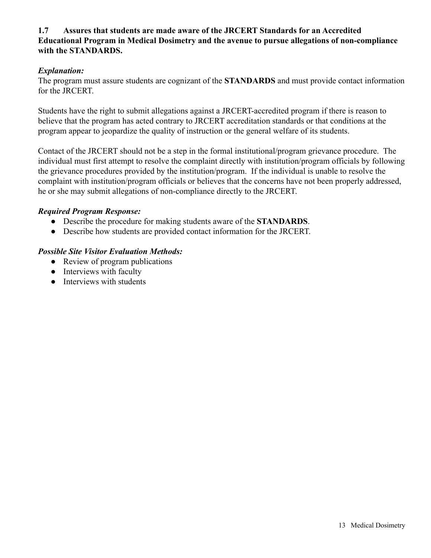# **1.7 Assures that students are made aware of the JRCERT Standards for an Accredited Educational Program in Medical Dosimetry and the avenue to pursue allegations of non-compliance with the STANDARDS.**

# *Explanation:*

The program must assure students are cognizant of the **STANDARDS** and must provide contact information for the JRCERT.

Students have the right to submit allegations against a JRCERT-accredited program if there is reason to believe that the program has acted contrary to JRCERT accreditation standards or that conditions at the program appear to jeopardize the quality of instruction or the general welfare of its students.

Contact of the JRCERT should not be a step in the formal institutional/program grievance procedure. The individual must first attempt to resolve the complaint directly with institution/program officials by following the grievance procedures provided by the institution/program. If the individual is unable to resolve the complaint with institution/program officials or believes that the concerns have not been properly addressed, he or she may submit allegations of non-compliance directly to the JRCERT.

## *Required Program Response:*

- Describe the procedure for making students aware of the **STANDARDS**.
- Describe how students are provided contact information for the JRCERT.

- Review of program publications
- Interviews with faculty
- **•** Interviews with students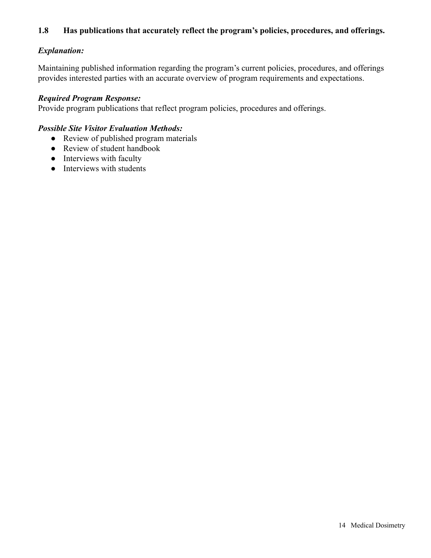# **1.8 Has publications that accurately reflect the program's policies, procedures, and offerings.**

# *Explanation:*

Maintaining published information regarding the program's current policies, procedures, and offerings provides interested parties with an accurate overview of program requirements and expectations.

# *Required Program Response:*

Provide program publications that reflect program policies, procedures and offerings.

- Review of published program materials
- Review of student handbook
- Interviews with faculty
- Interviews with students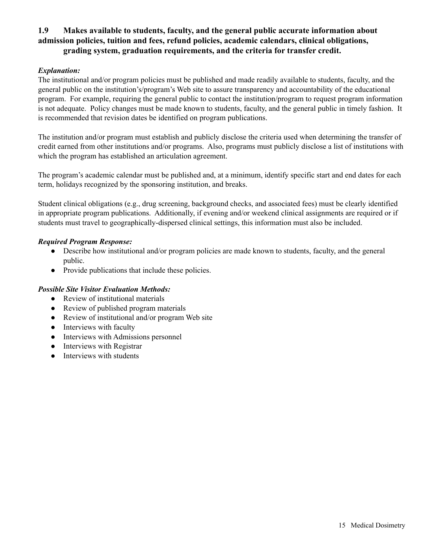# **1.9 Makes available to students, faculty, and the general public accurate information about admission policies, tuition and fees, refund policies, academic calendars, clinical obligations, grading system, graduation requirements, and the criteria for transfer credit.**

#### *Explanation:*

The institutional and/or program policies must be published and made readily available to students, faculty, and the general public on the institution's/program's Web site to assure transparency and accountability of the educational program. For example, requiring the general public to contact the institution/program to request program information is not adequate. Policy changes must be made known to students, faculty, and the general public in timely fashion. It is recommended that revision dates be identified on program publications.

The institution and/or program must establish and publicly disclose the criteria used when determining the transfer of credit earned from other institutions and/or programs. Also, programs must publicly disclose a list of institutions with which the program has established an articulation agreement.

The program's academic calendar must be published and, at a minimum, identify specific start and end dates for each term, holidays recognized by the sponsoring institution, and breaks.

Student clinical obligations (e.g., drug screening, background checks, and associated fees) must be clearly identified in appropriate program publications. Additionally, if evening and/or weekend clinical assignments are required or if students must travel to geographically-dispersed clinical settings, this information must also be included.

#### *Required Program Response:*

- Describe how institutional and/or program policies are made known to students, faculty, and the general public.
- Provide publications that include these policies.

- Review of institutional materials
- Review of published program materials
- Review of institutional and/or program Web site
- Interviews with faculty
- Interviews with Admissions personnel
- Interviews with Registrar
- Interviews with students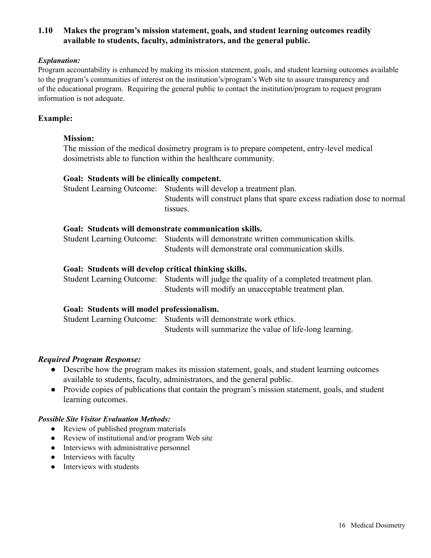# **1.10 Makes the program's mission statement, goals, and student learning outcomes readily available to students, faculty, administrators, and the general public.**

#### *Explanation:*

Program accountability is enhanced by making its mission statement, goals, and student learning outcomes available to the program's communities of interest on the institution's/program's Web site to assure transparency and of the educational program. Requiring the general public to contact the institution/program to request program information is not adequate.

#### **Example:**

#### **Mission:**

The mission of the medical dosimetry program is to prepare competent, entry-level medical dosimetrists able to function within the healthcare community.

#### **Goal: Students will be clinically competent.**

Student Learning Outcome: Students will develop a treatment plan. Students will construct plans that spare excess radiation dose to normal tissues.

#### **Goal: Students will demonstrate communication skills.**

Student Learning Outcome: Students will demonstrate written communication skills. Students will demonstrate oral communication skills.

#### **Goal: Students will develop critical thinking skills.**

Student Learning Outcome: Students will judge the quality of a completed treatment plan. Students will modify an unacceptable treatment plan.

#### **Goal: Students will model professionalism.**

Student Learning Outcome: Students will demonstrate work ethics. Students will summarize the value of life-long learning.

#### *Required Program Response:*

- Describe how the program makes its mission statement, goals, and student learning outcomes available to students, faculty, administrators, and the general public.
- Provide copies of publications that contain the program's mission statement, goals, and student learning outcomes.

- Review of published program materials
- Review of institutional and/or program Web site
- Interviews with administrative personnel
- Interviews with faculty
- Interviews with students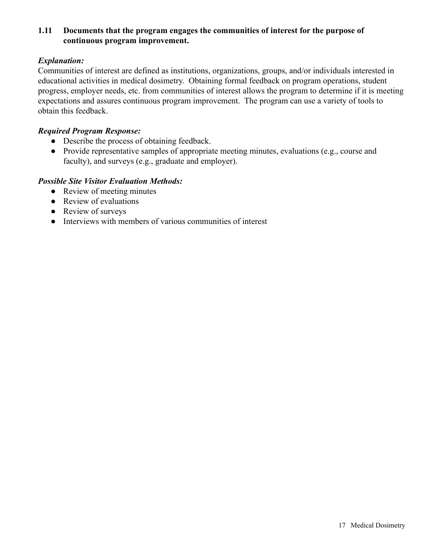# **1.11 Documents that the program engages the communities of interest for the purpose of continuous program improvement.**

# *Explanation:*

Communities of interest are defined as institutions, organizations, groups, and/or individuals interested in educational activities in medical dosimetry. Obtaining formal feedback on program operations, student progress, employer needs, etc. from communities of interest allows the program to determine if it is meeting expectations and assures continuous program improvement. The program can use a variety of tools to obtain this feedback.

#### *Required Program Response:*

- Describe the process of obtaining feedback.
- Provide representative samples of appropriate meeting minutes, evaluations (e.g., course and faculty), and surveys (e.g., graduate and employer).

- Review of meeting minutes
- Review of evaluations
- Review of surveys
- Interviews with members of various communities of interest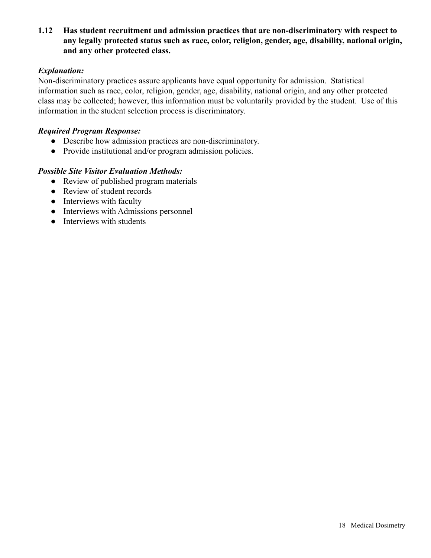# **1.12 Has student recruitment and admission practices that are non-discriminatory with respect to any legally protected status such as race, color, religion, gender, age, disability, national origin, and any other protected class.**

# *Explanation:*

Non-discriminatory practices assure applicants have equal opportunity for admission. Statistical information such as race, color, religion, gender, age, disability, national origin, and any other protected class may be collected; however, this information must be voluntarily provided by the student. Use of this information in the student selection process is discriminatory.

## *Required Program Response:*

- Describe how admission practices are non-discriminatory.
- Provide institutional and/or program admission policies.

- Review of published program materials
- Review of student records
- Interviews with faculty
- Interviews with Admissions personnel
- Interviews with students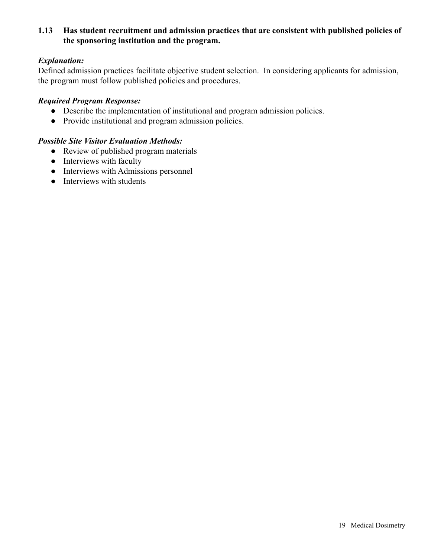# **1.13 Has student recruitment and admission practices that are consistent with published policies of the sponsoring institution and the program.**

# *Explanation:*

Defined admission practices facilitate objective student selection. In considering applicants for admission, the program must follow published policies and procedures.

#### *Required Program Response:*

- Describe the implementation of institutional and program admission policies.
- Provide institutional and program admission policies.

- Review of published program materials
- Interviews with faculty
- Interviews with Admissions personnel
- Interviews with students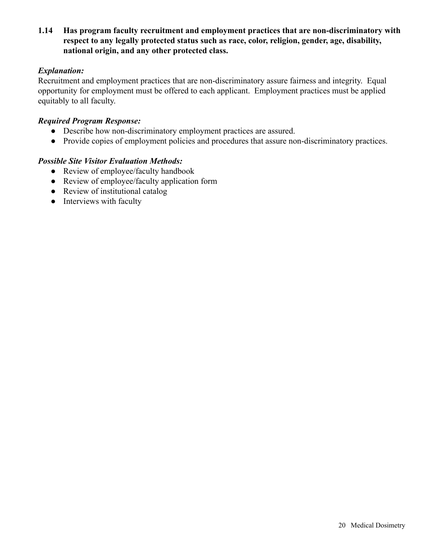# **1.14 Has program faculty recruitment and employment practices that are non-discriminatory with respect to any legally protected status such as race, color, religion, gender, age, disability, national origin, and any other protected class.**

# *Explanation:*

Recruitment and employment practices that are non-discriminatory assure fairness and integrity. Equal opportunity for employment must be offered to each applicant. Employment practices must be applied equitably to all faculty.

#### *Required Program Response:*

- Describe how non-discriminatory employment practices are assured.
- Provide copies of employment policies and procedures that assure non-discriminatory practices.

- Review of employee/faculty handbook
- Review of employee/faculty application form
- Review of institutional catalog
- Interviews with faculty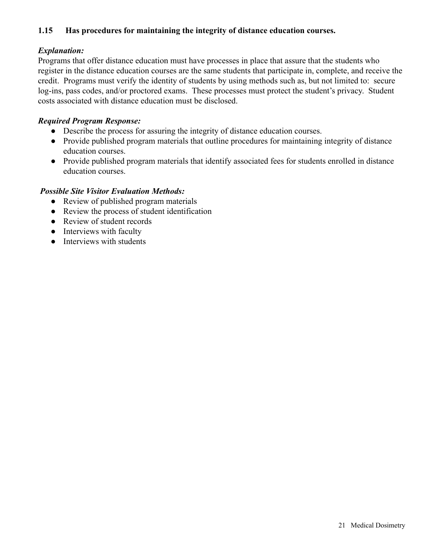# **1.15 Has procedures for maintaining the integrity of distance education courses.**

# *Explanation:*

Programs that offer distance education must have processes in place that assure that the students who register in the distance education courses are the same students that participate in, complete, and receive the credit. Programs must verify the identity of students by using methods such as, but not limited to: secure log-ins, pass codes, and/or proctored exams. These processes must protect the student's privacy. Student costs associated with distance education must be disclosed.

# *Required Program Response:*

- Describe the process for assuring the integrity of distance education courses.
- Provide published program materials that outline procedures for maintaining integrity of distance education courses.
- Provide published program materials that identify associated fees for students enrolled in distance education courses.

- Review of published program materials
- Review the process of student identification
- Review of student records
- Interviews with faculty
- Interviews with students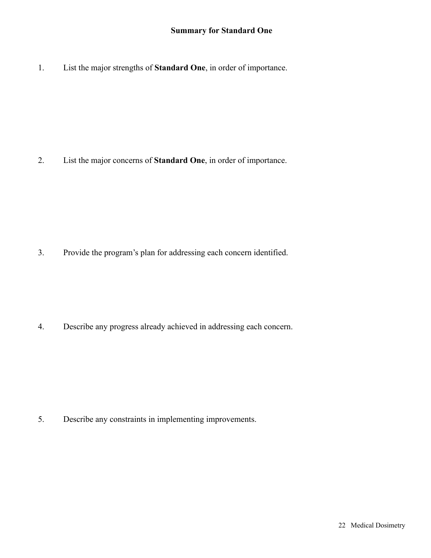1. List the major strengths of **Standard One**, in order of importance.

2. List the major concerns of **Standard One**, in order of importance.

3. Provide the program's plan for addressing each concern identified.

4. Describe any progress already achieved in addressing each concern.

5. Describe any constraints in implementing improvements.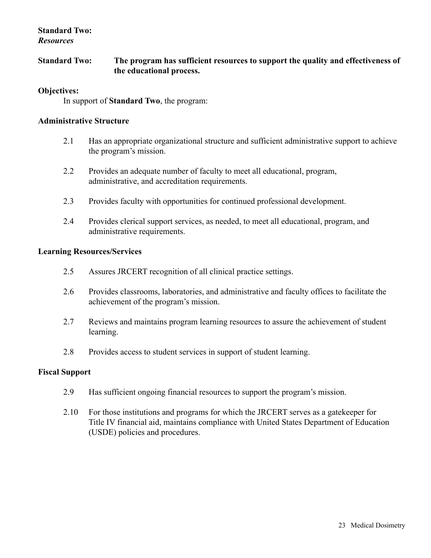# **Standard Two:** *Resources*

**Standard Two: The program has sufficient resources to support the quality and effectiveness of the educational process.**

#### **Objectives:**

In support of **Standard Two**, the program:

#### **Administrative Structure**

- 2.1 Has an appropriate organizational structure and sufficient administrative support to achieve the program's mission.
- 2.2 Provides an adequate number of faculty to meet all educational, program, administrative, and accreditation requirements.
- 2.3 Provides faculty with opportunities for continued professional development.
- 2.4 Provides clerical support services, as needed, to meet all educational, program, and administrative requirements.

#### **Learning Resources/Services**

- 2.5 Assures JRCERT recognition of all clinical practice settings.
- 2.6 Provides classrooms, laboratories, and administrative and faculty offices to facilitate the achievement of the program's mission.
- 2.7 Reviews and maintains program learning resources to assure the achievement of student learning.
- 2.8 Provides access to student services in support of student learning.

# **Fiscal Support**

- 2.9 Has sufficient ongoing financial resources to support the program's mission.
- 2.10 For those institutions and programs for which the JRCERT serves as a gatekeeper for Title IV financial aid, maintains compliance with United States Department of Education (USDE) policies and procedures.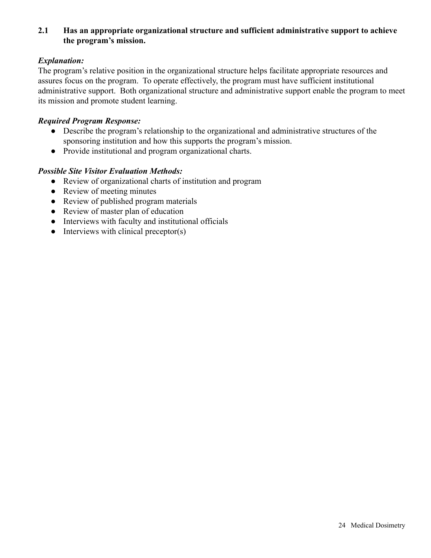# **2.1 Has an appropriate organizational structure and sufficient administrative support to achieve the program's mission.**

# *Explanation:*

The program's relative position in the organizational structure helps facilitate appropriate resources and assures focus on the program. To operate effectively, the program must have sufficient institutional administrative support. Both organizational structure and administrative support enable the program to meet its mission and promote student learning.

## *Required Program Response:*

- Describe the program's relationship to the organizational and administrative structures of the sponsoring institution and how this supports the program's mission.
- Provide institutional and program organizational charts.

- Review of organizational charts of institution and program
- Review of meeting minutes
- Review of published program materials
- Review of master plan of education
- Interviews with faculty and institutional officials
- $\bullet$  Interviews with clinical preceptor(s)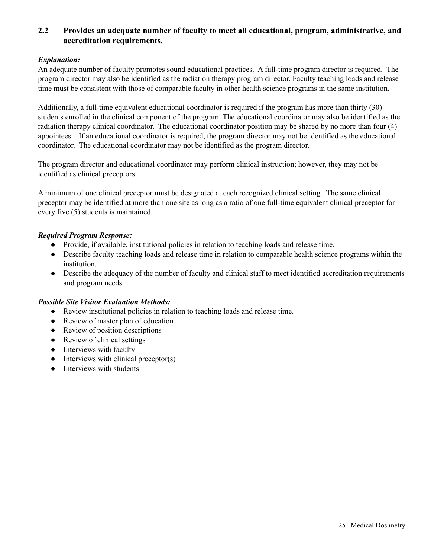# **2.2 Provides an adequate number of faculty to meet all educational, program, administrative, and accreditation requirements.**

#### *Explanation:*

An adequate number of faculty promotes sound educational practices. A full-time program director is required. The program director may also be identified as the radiation therapy program director. Faculty teaching loads and release time must be consistent with those of comparable faculty in other health science programs in the same institution.

Additionally, a full-time equivalent educational coordinator is required if the program has more than thirty (30) students enrolled in the clinical component of the program. The educational coordinator may also be identified as the radiation therapy clinical coordinator. The educational coordinator position may be shared by no more than four (4) appointees. If an educational coordinator is required, the program director may not be identified as the educational coordinator. The educational coordinator may not be identified as the program director.

The program director and educational coordinator may perform clinical instruction; however, they may not be identified as clinical preceptors.

A minimum of one clinical preceptor must be designated at each recognized clinical setting. The same clinical preceptor may be identified at more than one site as long as a ratio of one full-time equivalent clinical preceptor for every five (5) students is maintained.

#### *Required Program Response:*

- Provide, if available, institutional policies in relation to teaching loads and release time.
- Describe faculty teaching loads and release time in relation to comparable health science programs within the institution.
- Describe the adequacy of the number of faculty and clinical staff to meet identified accreditation requirements and program needs.

- Review institutional policies in relation to teaching loads and release time.
- Review of master plan of education
- Review of position descriptions
- Review of clinical settings
- Interviews with faculty
- $\bullet$  Interviews with clinical preceptor(s)
- Interviews with students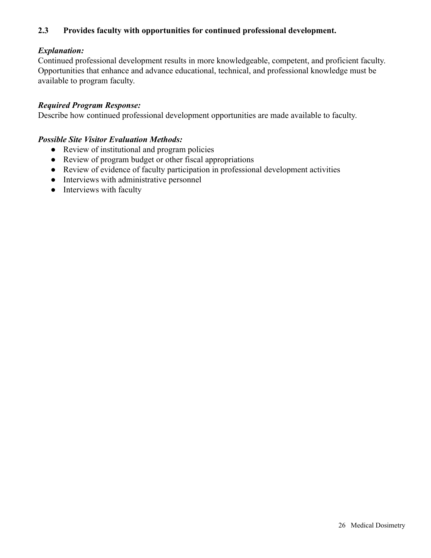# **2.3 Provides faculty with opportunities for continued professional development.**

# *Explanation:*

Continued professional development results in more knowledgeable, competent, and proficient faculty. Opportunities that enhance and advance educational, technical, and professional knowledge must be available to program faculty.

# *Required Program Response:*

Describe how continued professional development opportunities are made available to faculty.

- Review of institutional and program policies
- Review of program budget or other fiscal appropriations
- Review of evidence of faculty participation in professional development activities
- Interviews with administrative personnel
- Interviews with faculty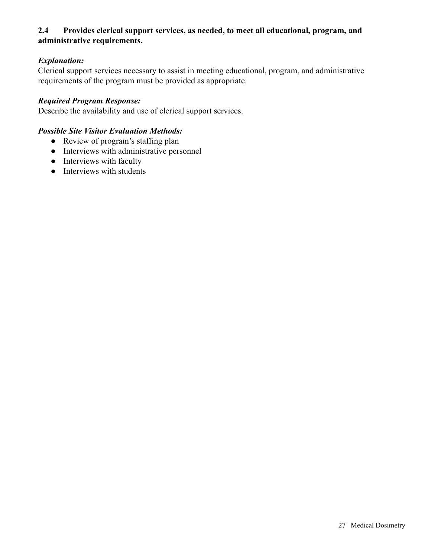# **2.4 Provides clerical support services, as needed, to meet all educational, program, and administrative requirements.**

# *Explanation:*

Clerical support services necessary to assist in meeting educational, program, and administrative requirements of the program must be provided as appropriate.

# *Required Program Response:*

Describe the availability and use of clerical support services.

- Review of program's staffing plan
- Interviews with administrative personnel
- Interviews with faculty
- Interviews with students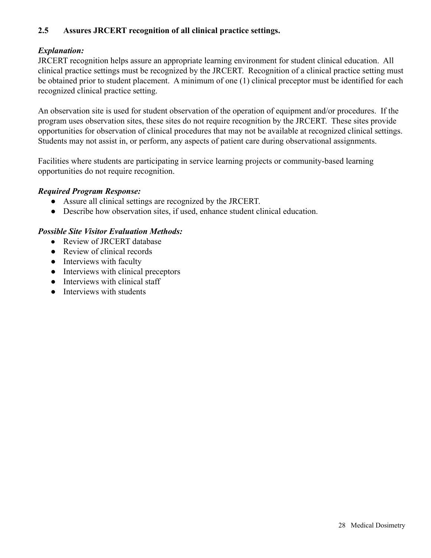# **2.5 Assures JRCERT recognition of all clinical practice settings.**

# *Explanation:*

JRCERT recognition helps assure an appropriate learning environment for student clinical education. All clinical practice settings must be recognized by the JRCERT. Recognition of a clinical practice setting must be obtained prior to student placement. A minimum of one (1) clinical preceptor must be identified for each recognized clinical practice setting.

An observation site is used for student observation of the operation of equipment and/or procedures. If the program uses observation sites, these sites do not require recognition by the JRCERT. These sites provide opportunities for observation of clinical procedures that may not be available at recognized clinical settings. Students may not assist in, or perform, any aspects of patient care during observational assignments.

Facilities where students are participating in service learning projects or community-based learning opportunities do not require recognition.

## *Required Program Response:*

- Assure all clinical settings are recognized by the JRCERT.
- Describe how observation sites, if used, enhance student clinical education.

- Review of JRCERT database
- Review of clinical records
- Interviews with faculty
- Interviews with clinical preceptors
- Interviews with clinical staff
- Interviews with students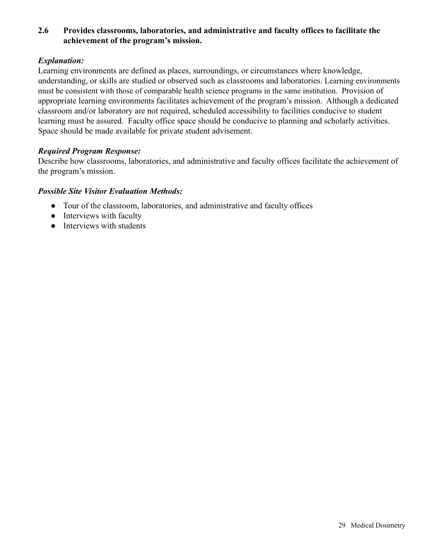# **2.6 Provides classrooms, laboratories, and administrative and faculty offices to facilitate the achievement of the program's mission.**

# *Explanation:*

Learning environments are defined as places, surroundings, or circumstances where knowledge, understanding, or skills are studied or observed such as classrooms and laboratories. Learning environments must be consistent with those of comparable health science programs in the same institution. Provision of appropriate learning environments facilitates achievement of the program's mission. Although a dedicated classroom and/or laboratory are not required, scheduled accessibility to facilities conducive to student learning must be assured. Faculty office space should be conducive to planning and scholarly activities. Space should be made available for private student advisement.

## *Required Program Response:*

Describe how classrooms, laboratories, and administrative and faculty offices facilitate the achievement of the program's mission.

- Tour of the classroom, laboratories, and administrative and faculty offices
- Interviews with faculty
- Interviews with students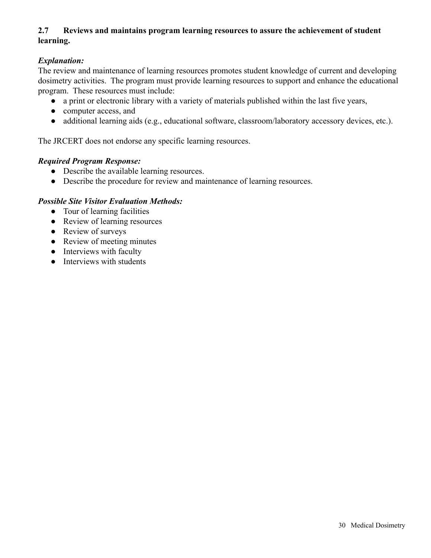# **2.7 Reviews and maintains program learning resources to assure the achievement of student learning.**

# *Explanation:*

The review and maintenance of learning resources promotes student knowledge of current and developing dosimetry activities. The program must provide learning resources to support and enhance the educational program. These resources must include:

- a print or electronic library with a variety of materials published within the last five years,
- computer access, and
- additional learning aids (e.g., educational software, classroom/laboratory accessory devices, etc.).

The JRCERT does not endorse any specific learning resources.

## *Required Program Response:*

- Describe the available learning resources.
- Describe the procedure for review and maintenance of learning resources.

- Tour of learning facilities
- Review of learning resources
- Review of surveys
- Review of meeting minutes
- Interviews with faculty
- Interviews with students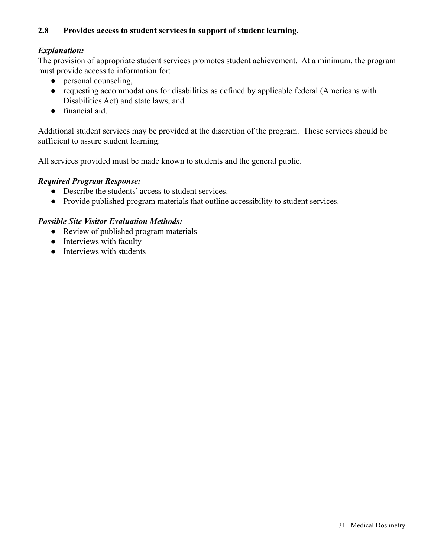# **2.8 Provides access to student services in support of student learning.**

# *Explanation:*

The provision of appropriate student services promotes student achievement. At a minimum, the program must provide access to information for:

- personal counseling,
- requesting accommodations for disabilities as defined by applicable federal (Americans with Disabilities Act) and state laws, and
- financial aid.

Additional student services may be provided at the discretion of the program. These services should be sufficient to assure student learning.

All services provided must be made known to students and the general public.

#### *Required Program Response:*

- Describe the students' access to student services.
- Provide published program materials that outline accessibility to student services.

- Review of published program materials
- Interviews with faculty
- Interviews with students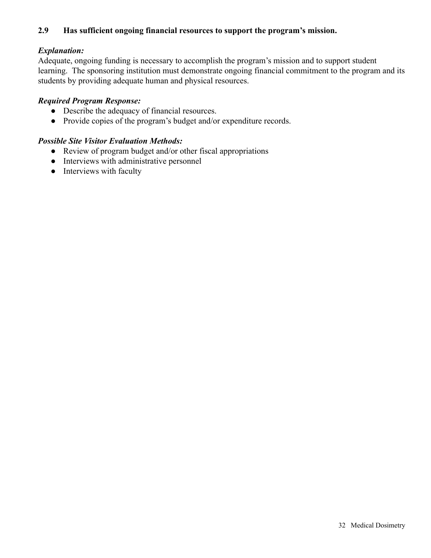# **2.9 Has sufficient ongoing financial resources to support the program's mission.**

# *Explanation:*

Adequate, ongoing funding is necessary to accomplish the program's mission and to support student learning. The sponsoring institution must demonstrate ongoing financial commitment to the program and its students by providing adequate human and physical resources.

#### *Required Program Response:*

- Describe the adequacy of financial resources.
- Provide copies of the program's budget and/or expenditure records.

- Review of program budget and/or other fiscal appropriations
- Interviews with administrative personnel
- Interviews with faculty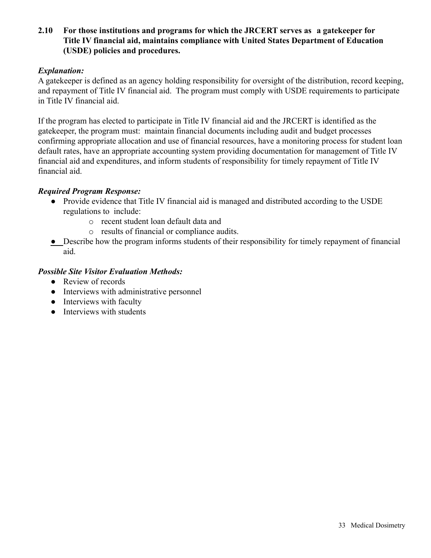# **2.10 For those institutions and programs for which the JRCERT serves as a gatekeeper for Title IV financial aid, maintains compliance with United States Department of Education (USDE) policies and procedures.**

# *Explanation:*

A gatekeeper is defined as an agency holding responsibility for oversight of the distribution, record keeping, and repayment of Title IV financial aid. The program must comply with USDE requirements to participate in Title IV financial aid.

If the program has elected to participate in Title IV financial aid and the JRCERT is identified as the gatekeeper, the program must: maintain financial documents including audit and budget processes confirming appropriate allocation and use of financial resources, have a monitoring process for student loan default rates, have an appropriate accounting system providing documentation for management of Title IV financial aid and expenditures, and inform students of responsibility for timely repayment of Title IV financial aid.

#### *Required Program Response:*

- Provide evidence that Title IV financial aid is managed and distributed according to the USDE regulations to include:
	- o recent student loan default data and
	- o results of financial or compliance audits.
- Describe how the program informs students of their responsibility for timely repayment of financial aid.

- Review of records
- Interviews with administrative personnel
- Interviews with faculty
- Interviews with students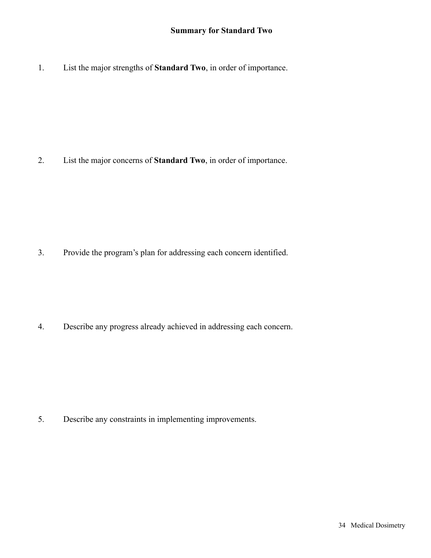1. List the major strengths of **Standard Two**, in order of importance.

2. List the major concerns of **Standard Two**, in order of importance.

3. Provide the program's plan for addressing each concern identified.

4. Describe any progress already achieved in addressing each concern.

5. Describe any constraints in implementing improvements.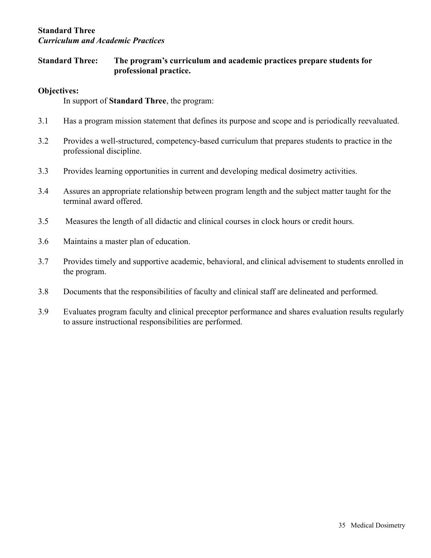# **Standard Three** *Curriculum and Academic Practices*

# **Standard Three: The program's curriculum and academic practices prepare students for professional practice.**

# **Objectives:**

In support of **Standard Three**, the program:

- 3.1 Has a program mission statement that defines its purpose and scope and is periodically reevaluated.
- 3.2 Provides a well-structured, competency-based curriculum that prepares students to practice in the professional discipline.
- 3.3 Provides learning opportunities in current and developing medical dosimetry activities.
- 3.4 Assures an appropriate relationship between program length and the subject matter taught for the terminal award offered.
- 3.5 Measures the length of all didactic and clinical courses in clock hours or credit hours.
- 3.6 Maintains a master plan of education.
- 3.7 Provides timely and supportive academic, behavioral, and clinical advisement to students enrolled in the program.
- 3.8 Documents that the responsibilities of faculty and clinical staff are delineated and performed.
- 3.9 Evaluates program faculty and clinical preceptor performance and shares evaluation results regularly to assure instructional responsibilities are performed.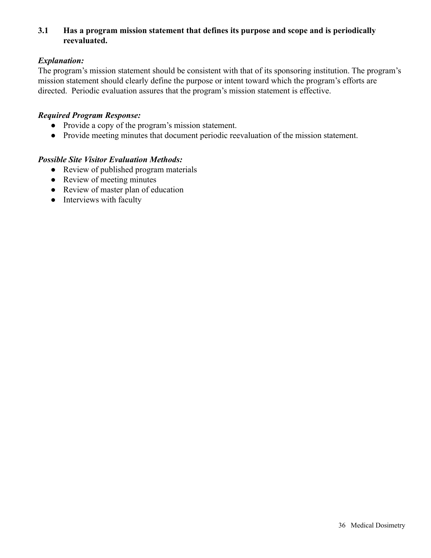# **3.1 Has a program mission statement that defines its purpose and scope and is periodically reevaluated.**

# *Explanation:*

The program's mission statement should be consistent with that of its sponsoring institution. The program's mission statement should clearly define the purpose or intent toward which the program's efforts are directed. Periodic evaluation assures that the program's mission statement is effective.

#### *Required Program Response:*

- Provide a copy of the program's mission statement.
- Provide meeting minutes that document periodic reevaluation of the mission statement.

- Review of published program materials
- Review of meeting minutes
- Review of master plan of education
- Interviews with faculty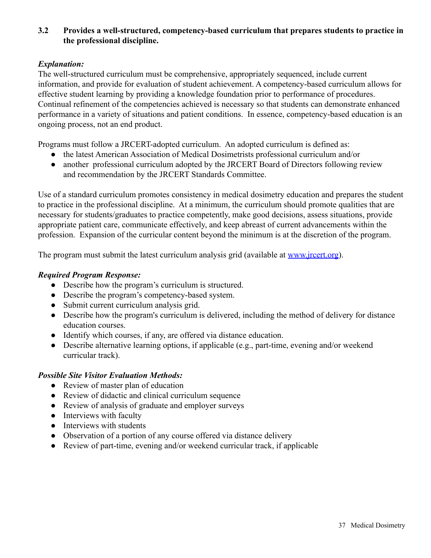# **3.2 Provides a well-structured, competency-based curriculum that prepares students to practice in the professional discipline.**

# *Explanation:*

The well-structured curriculum must be comprehensive, appropriately sequenced, include current information, and provide for evaluation of student achievement. A competency-based curriculum allows for effective student learning by providing a knowledge foundation prior to performance of procedures. Continual refinement of the competencies achieved is necessary so that students can demonstrate enhanced performance in a variety of situations and patient conditions. In essence, competency-based education is an ongoing process, not an end product.

Programs must follow a JRCERT-adopted curriculum. An adopted curriculum is defined as:

- the latest American Association of Medical Dosimetrists professional curriculum and/or
- another professional curriculum adopted by the JRCERT Board of Directors following review and recommendation by the JRCERT Standards Committee.

Use of a standard curriculum promotes consistency in medical dosimetry education and prepares the student to practice in the professional discipline. At a minimum, the curriculum should promote qualities that are necessary for students/graduates to practice competently, make good decisions, assess situations, provide appropriate patient care, communicate effectively, and keep abreast of current advancements within the profession. Expansion of the curricular content beyond the minimum is at the discretion of the program.

The program must submit the latest curriculum analysis grid (available at [www.jrcert.org](http://www.jrcert.org)).

## *Required Program Response:*

- Describe how the program's curriculum is structured.
- Describe the program's competency-based system.
- Submit current curriculum analysis grid.
- Describe how the program's curriculum is delivered, including the method of delivery for distance education courses.
- Identify which courses, if any, are offered via distance education.
- Describe alternative learning options, if applicable (e.g., part-time, evening and/or weekend curricular track).

- Review of master plan of education
- Review of didactic and clinical curriculum sequence
- Review of analysis of graduate and employer surveys
- Interviews with faculty
- Interviews with students
- Observation of a portion of any course offered via distance delivery
- Review of part-time, evening and/or weekend curricular track, if applicable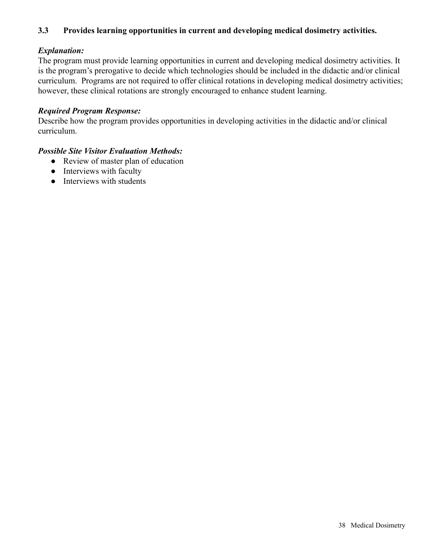# **3.3 Provides learning opportunities in current and developing medical dosimetry activities.**

# *Explanation:*

The program must provide learning opportunities in current and developing medical dosimetry activities. It is the program's prerogative to decide which technologies should be included in the didactic and/or clinical curriculum. Programs are not required to offer clinical rotations in developing medical dosimetry activities; however, these clinical rotations are strongly encouraged to enhance student learning.

## *Required Program Response:*

Describe how the program provides opportunities in developing activities in the didactic and/or clinical curriculum.

- Review of master plan of education
- Interviews with faculty
- Interviews with students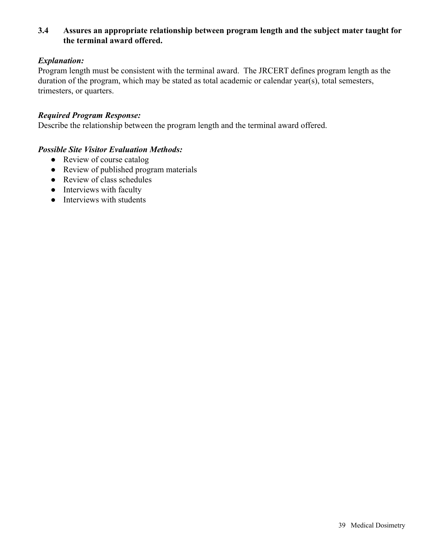## **3.4 Assures an appropriate relationship between program length and the subject mater taught for the terminal award offered.**

## *Explanation:*

Program length must be consistent with the terminal award. The JRCERT defines program length as the duration of the program, which may be stated as total academic or calendar year(s), total semesters, trimesters, or quarters.

#### *Required Program Response:*

Describe the relationship between the program length and the terminal award offered.

- Review of course catalog
- Review of published program materials
- Review of class schedules
- Interviews with faculty
- Interviews with students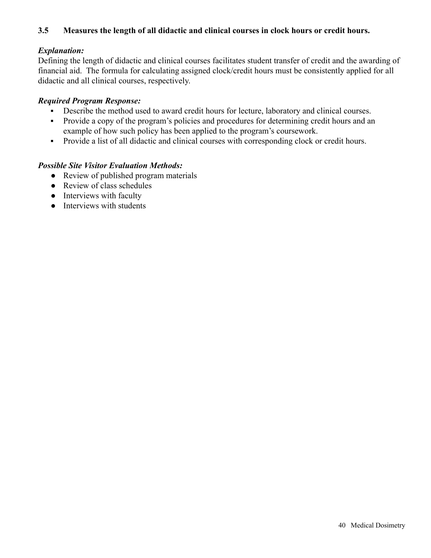# **3.5 Measures the length of all didactic and clinical courses in clock hours or credit hours.**

# *Explanation:*

Defining the length of didactic and clinical courses facilitates student transfer of credit and the awarding of financial aid. The formula for calculating assigned clock/credit hours must be consistently applied for all didactic and all clinical courses, respectively.

# *Required Program Response:*

- Describe the method used to award credit hours for lecture, laboratory and clinical courses.
- Provide a copy of the program's policies and procedures for determining credit hours and an example of how such policy has been applied to the program's coursework.
- Provide a list of all didactic and clinical courses with corresponding clock or credit hours.

- Review of published program materials
- Review of class schedules
- Interviews with faculty
- Interviews with students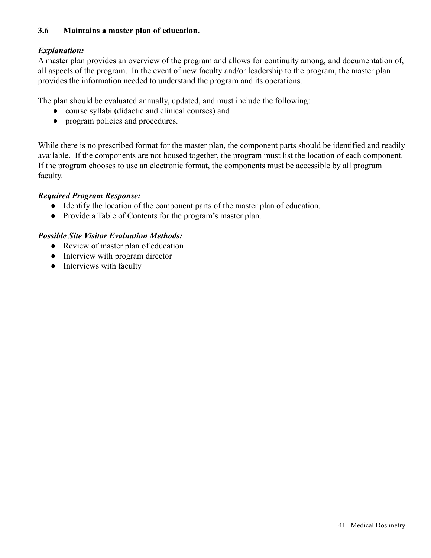# **3.6 Maintains a master plan of education.**

# *Explanation:*

A master plan provides an overview of the program and allows for continuity among, and documentation of, all aspects of the program. In the event of new faculty and/or leadership to the program, the master plan provides the information needed to understand the program and its operations.

The plan should be evaluated annually, updated, and must include the following:

- course syllabi (didactic and clinical courses) and
- program policies and procedures.

While there is no prescribed format for the master plan, the component parts should be identified and readily available. If the components are not housed together, the program must list the location of each component. If the program chooses to use an electronic format, the components must be accessible by all program faculty.

# *Required Program Response:*

- Identify the location of the component parts of the master plan of education.
- Provide a Table of Contents for the program's master plan.

- Review of master plan of education
- Interview with program director
- Interviews with faculty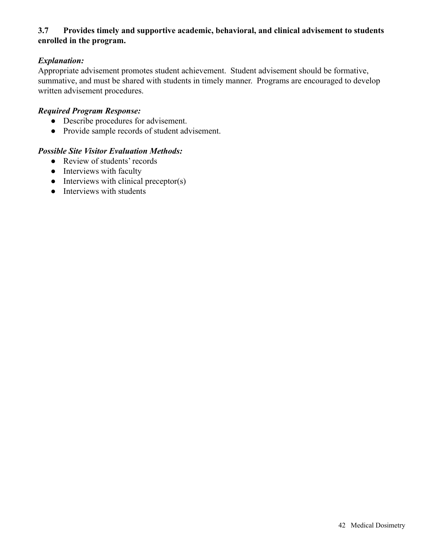# **3.7 Provides timely and supportive academic, behavioral, and clinical advisement to students enrolled in the program.**

# *Explanation:*

Appropriate advisement promotes student achievement. Student advisement should be formative, summative, and must be shared with students in timely manner. Programs are encouraged to develop written advisement procedures.

#### *Required Program Response:*

- Describe procedures for advisement.
- Provide sample records of student advisement.

- Review of students' records
- Interviews with faculty
- $\bullet$  Interviews with clinical preceptor(s)
- Interviews with students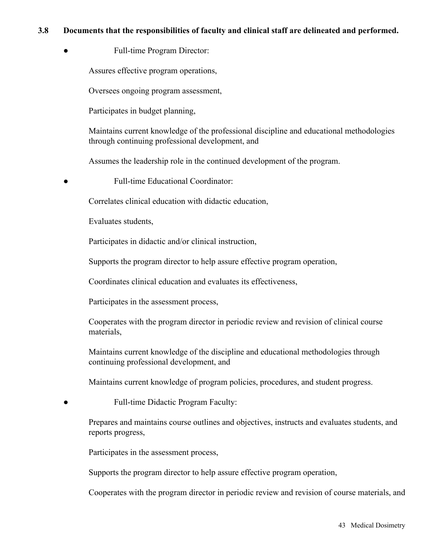### **3.8 Documents that the responsibilities of faculty and clinical staff are delineated and performed.**

● Full-time Program Director:

Assures effective program operations,

Oversees ongoing program assessment,

Participates in budget planning,

Maintains current knowledge of the professional discipline and educational methodologies through continuing professional development, and

Assumes the leadership role in the continued development of the program.

**Full-time Educational Coordinator:** 

Correlates clinical education with didactic education,

Evaluates students,

Participates in didactic and/or clinical instruction,

Supports the program director to help assure effective program operation,

Coordinates clinical education and evaluates its effectiveness,

Participates in the assessment process,

Cooperates with the program director in periodic review and revision of clinical course materials,

Maintains current knowledge of the discipline and educational methodologies through continuing professional development, and

Maintains current knowledge of program policies, procedures, and student progress.

Full-time Didactic Program Faculty:

Prepares and maintains course outlines and objectives, instructs and evaluates students, and reports progress,

Participates in the assessment process,

Supports the program director to help assure effective program operation,

Cooperates with the program director in periodic review and revision of course materials, and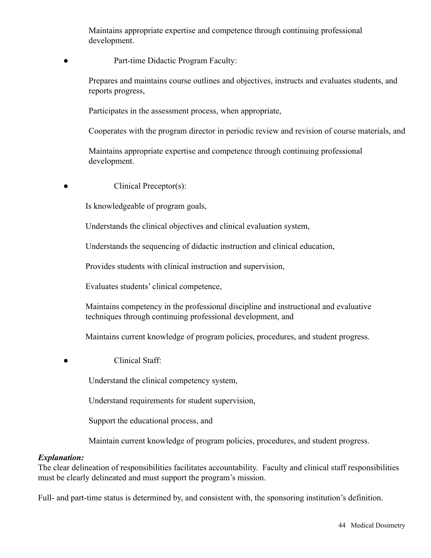Maintains appropriate expertise and competence through continuing professional development.

Part-time Didactic Program Faculty:

Prepares and maintains course outlines and objectives, instructs and evaluates students, and reports progress,

Participates in the assessment process, when appropriate,

Cooperates with the program director in periodic review and revision of course materials, and

Maintains appropriate expertise and competence through continuing professional development.

• Clinical Preceptor(s):

Is knowledgeable of program goals,

Understands the clinical objectives and clinical evaluation system,

Understands the sequencing of didactic instruction and clinical education,

Provides students with clinical instruction and supervision,

Evaluates students' clinical competence,

Maintains competency in the professional discipline and instructional and evaluative techniques through continuing professional development, and

Maintains current knowledge of program policies, procedures, and student progress.

Clinical Staff:

Understand the clinical competency system,

Understand requirements for student supervision,

Support the educational process, and

Maintain current knowledge of program policies, procedures, and student progress.

#### *Explanation:*

The clear delineation of responsibilities facilitates accountability. Faculty and clinical staff responsibilities must be clearly delineated and must support the program's mission.

Full- and part-time status is determined by, and consistent with, the sponsoring institution's definition.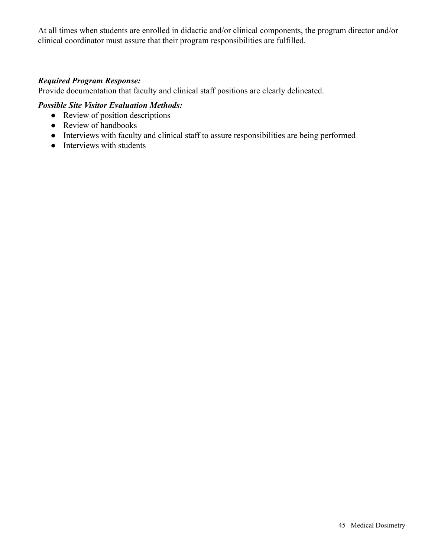At all times when students are enrolled in didactic and/or clinical components, the program director and/or clinical coordinator must assure that their program responsibilities are fulfilled.

#### *Required Program Response:*

Provide documentation that faculty and clinical staff positions are clearly delineated.

- Review of position descriptions
- Review of handbooks
- Interviews with faculty and clinical staff to assure responsibilities are being performed
- Interviews with students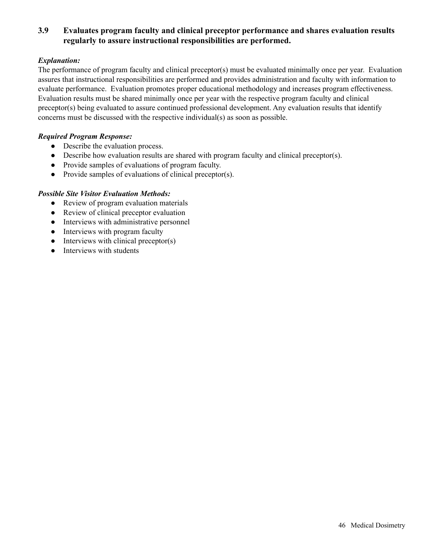# **3.9 Evaluates program faculty and clinical preceptor performance and shares evaluation results regularly to assure instructional responsibilities are performed.**

#### *Explanation:*

The performance of program faculty and clinical preceptor(s) must be evaluated minimally once per year. Evaluation assures that instructional responsibilities are performed and provides administration and faculty with information to evaluate performance. Evaluation promotes proper educational methodology and increases program effectiveness. Evaluation results must be shared minimally once per year with the respective program faculty and clinical preceptor(s) being evaluated to assure continued professional development. Any evaluation results that identify concerns must be discussed with the respective individual(s) as soon as possible.

#### *Required Program Response:*

- Describe the evaluation process.
- Describe how evaluation results are shared with program faculty and clinical preceptor(s).
- Provide samples of evaluations of program faculty.
- Provide samples of evaluations of clinical preceptor(s).

- Review of program evaluation materials
- Review of clinical preceptor evaluation
- Interviews with administrative personnel
- Interviews with program faculty
- $\bullet$  Interviews with clinical preceptor(s)
- Interviews with students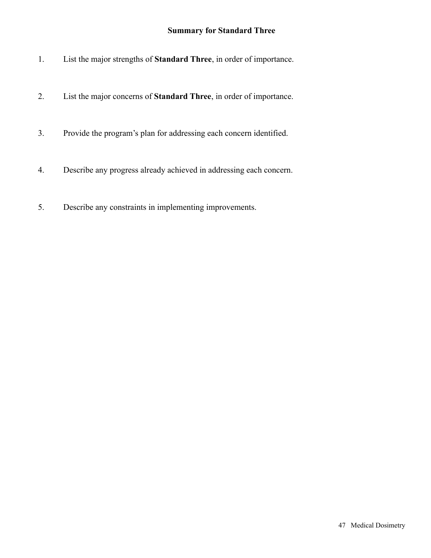# **Summary for Standard Three**

- 1. List the major strengths of **Standard Three**, in order of importance.
- 2. List the major concerns of **Standard Three**, in order of importance.
- 3. Provide the program's plan for addressing each concern identified.
- 4. Describe any progress already achieved in addressing each concern.
- 5. Describe any constraints in implementing improvements.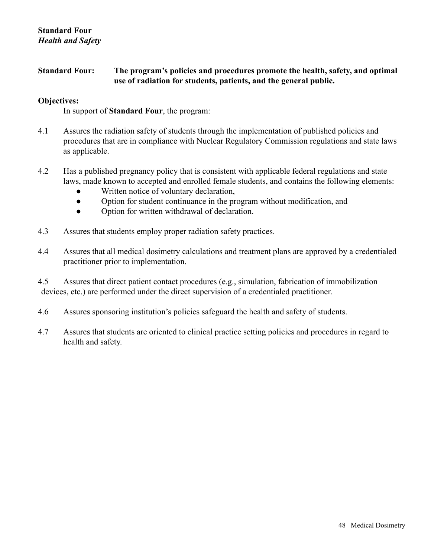# **Standard Four: The program's policies and procedures promote the health, safety, and optimal use of radiation for students, patients, and the general public.**

## **Objectives:**

In support of **Standard Four**, the program:

- 4.1 Assures the radiation safety of students through the implementation of published policies and procedures that are in compliance with Nuclear Regulatory Commission regulations and state laws as applicable.
- 4.2 Has a published pregnancy policy that is consistent with applicable federal regulations and state laws, made known to accepted and enrolled female students, and contains the following elements:
	- Written notice of voluntary declaration,
	- Option for student continuance in the program without modification, and
	- Option for written withdrawal of declaration.
- 4.3 Assures that students employ proper radiation safety practices.
- 4.4 Assures that all medical dosimetry calculations and treatment plans are approved by a credentialed practitioner prior to implementation.

4.5 Assures that direct patient contact procedures (e.g., simulation, fabrication of immobilization devices, etc.) are performed under the direct supervision of a credentialed practitioner.

- 4.6 Assures sponsoring institution's policies safeguard the health and safety of students.
- 4.7 Assures that students are oriented to clinical practice setting policies and procedures in regard to health and safety.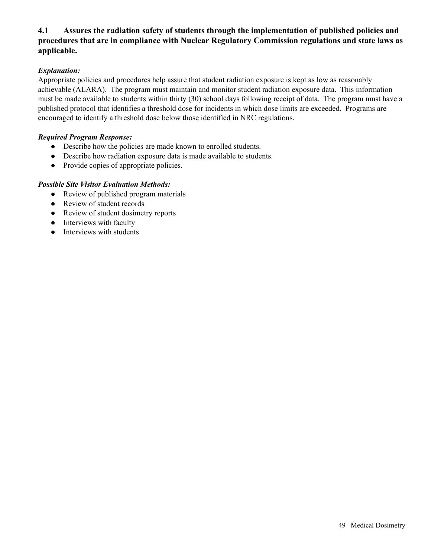# **4.1 Assures the radiation safety of students through the implementation of published policies and procedures that are in compliance with Nuclear Regulatory Commission regulations and state laws as applicable.**

#### *Explanation:*

Appropriate policies and procedures help assure that student radiation exposure is kept as low as reasonably achievable (ALARA). The program must maintain and monitor student radiation exposure data. This information must be made available to students within thirty (30) school days following receipt of data. The program must have a published protocol that identifies a threshold dose for incidents in which dose limits are exceeded. Programs are encouraged to identify a threshold dose below those identified in NRC regulations.

#### *Required Program Response:*

- Describe how the policies are made known to enrolled students.
- Describe how radiation exposure data is made available to students.
- Provide copies of appropriate policies.

- Review of published program materials
- Review of student records
- Review of student dosimetry reports
- Interviews with faculty
- Interviews with students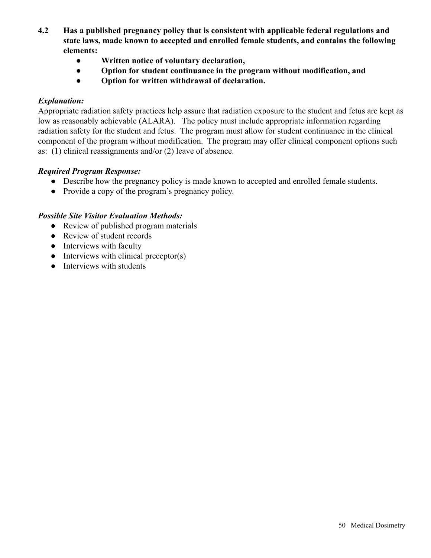- **4.2 Has a published pregnancy policy that is consistent with applicable federal regulations and state laws, made known to accepted and enrolled female students, and contains the following elements:**
	- **Written notice of voluntary declaration,**
	- **Option for student continuance in the program without modification, and**
	- **Option for written withdrawal of declaration.**

# *Explanation:*

Appropriate radiation safety practices help assure that radiation exposure to the student and fetus are kept as low as reasonably achievable (ALARA). The policy must include appropriate information regarding radiation safety for the student and fetus. The program must allow for student continuance in the clinical component of the program without modification. The program may offer clinical component options such as: (1) clinical reassignments and/or (2) leave of absence.

# *Required Program Response:*

- Describe how the pregnancy policy is made known to accepted and enrolled female students.
- Provide a copy of the program's pregnancy policy.

- Review of published program materials
- Review of student records
- Interviews with faculty
- $\bullet$  Interviews with clinical preceptor(s)
- Interviews with students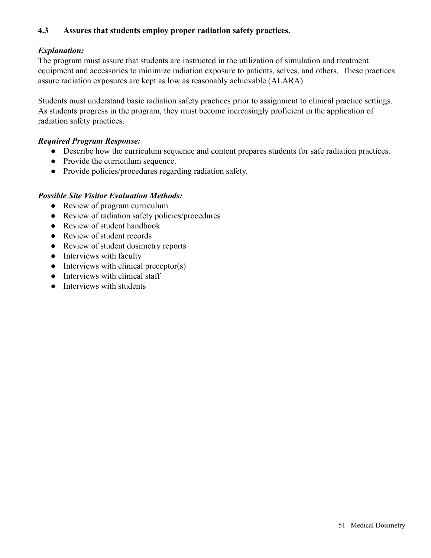# **4.3 Assures that students employ proper radiation safety practices.**

# *Explanation:*

The program must assure that students are instructed in the utilization of simulation and treatment equipment and accessories to minimize radiation exposure to patients, selves, and others. These practices assure radiation exposures are kept as low as reasonably achievable (ALARA).

Students must understand basic radiation safety practices prior to assignment to clinical practice settings. As students progress in the program, they must become increasingly proficient in the application of radiation safety practices.

# *Required Program Response:*

- Describe how the curriculum sequence and content prepares students for safe radiation practices.
- Provide the curriculum sequence.
- Provide policies/procedures regarding radiation safety.

- Review of program curriculum
- Review of radiation safety policies/procedures
- Review of student handbook
- Review of student records
- Review of student dosimetry reports
- Interviews with faculty
- $\bullet$  Interviews with clinical preceptor(s)
- Interviews with clinical staff
- **•** Interviews with students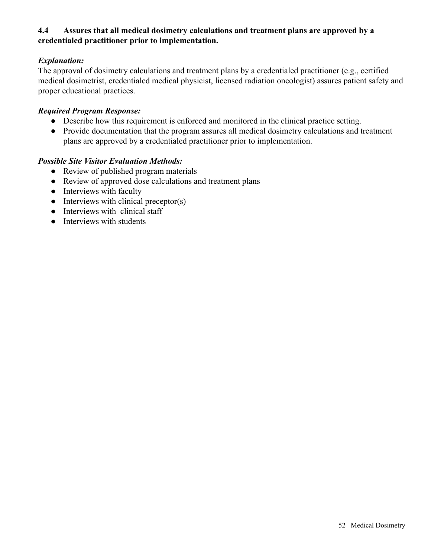# **4.4 Assures that all medical dosimetry calculations and treatment plans are approved by a credentialed practitioner prior to implementation.**

# *Explanation:*

The approval of dosimetry calculations and treatment plans by a credentialed practitioner (e.g., certified medical dosimetrist, credentialed medical physicist, licensed radiation oncologist) assures patient safety and proper educational practices.

### *Required Program Response:*

- Describe how this requirement is enforced and monitored in the clinical practice setting.
- Provide documentation that the program assures all medical dosimetry calculations and treatment plans are approved by a credentialed practitioner prior to implementation.

- Review of published program materials
- Review of approved dose calculations and treatment plans
- Interviews with faculty
- $\bullet$  Interviews with clinical preceptor(s)
- Interviews with clinical staff
- Interviews with students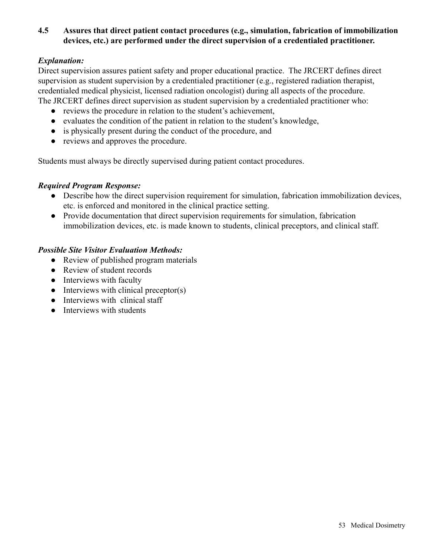# **4.5 Assures that direct patient contact procedures (e.g., simulation, fabrication of immobilization devices, etc.) are performed under the direct supervision of a credentialed practitioner.**

# *Explanation:*

Direct supervision assures patient safety and proper educational practice. The JRCERT defines direct supervision as student supervision by a credentialed practitioner (e.g., registered radiation therapist, credentialed medical physicist, licensed radiation oncologist) during all aspects of the procedure. The JRCERT defines direct supervision as student supervision by a credentialed practitioner who:

- reviews the procedure in relation to the student's achievement,
- evaluates the condition of the patient in relation to the student's knowledge,
- is physically present during the conduct of the procedure, and
- reviews and approves the procedure.

Students must always be directly supervised during patient contact procedures.

### *Required Program Response:*

- Describe how the direct supervision requirement for simulation, fabrication immobilization devices, etc. is enforced and monitored in the clinical practice setting.
- Provide documentation that direct supervision requirements for simulation, fabrication immobilization devices, etc. is made known to students, clinical preceptors, and clinical staff.

- Review of published program materials
- Review of student records
- Interviews with faculty
- $\bullet$  Interviews with clinical preceptor(s)
- Interviews with clinical staff
- Interviews with students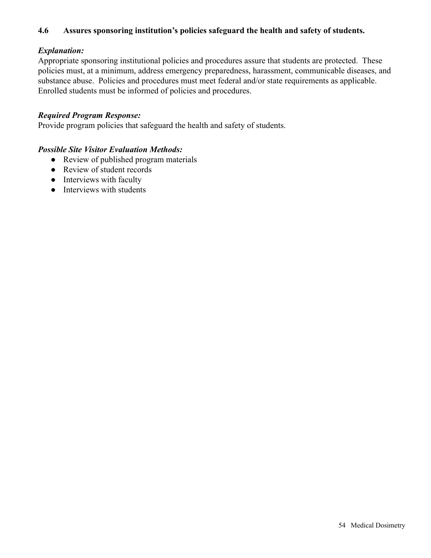# **4.6 Assures sponsoring institution's policies safeguard the health and safety of students.**

# *Explanation:*

Appropriate sponsoring institutional policies and procedures assure that students are protected. These policies must, at a minimum, address emergency preparedness, harassment, communicable diseases, and substance abuse. Policies and procedures must meet federal and/or state requirements as applicable. Enrolled students must be informed of policies and procedures.

# *Required Program Response:*

Provide program policies that safeguard the health and safety of students.

- Review of published program materials
- Review of student records
- Interviews with faculty
- Interviews with students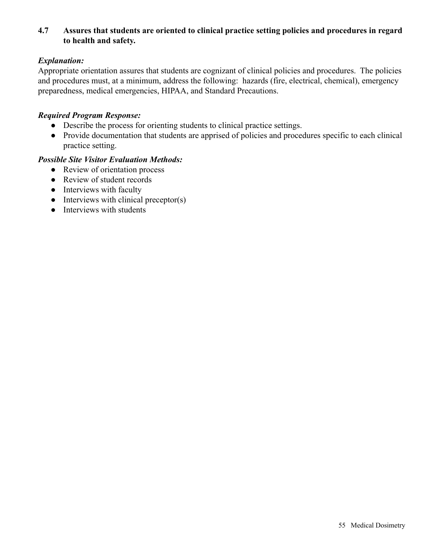# **4.7 Assures that students are oriented to clinical practice setting policies and procedures in regard to health and safety.**

# *Explanation:*

Appropriate orientation assures that students are cognizant of clinical policies and procedures. The policies and procedures must, at a minimum, address the following: hazards (fire, electrical, chemical), emergency preparedness, medical emergencies, HIPAA, and Standard Precautions.

### *Required Program Response:*

- Describe the process for orienting students to clinical practice settings.
- Provide documentation that students are apprised of policies and procedures specific to each clinical practice setting.

- Review of orientation process
- Review of student records
- Interviews with faculty
- $\bullet$  Interviews with clinical preceptor(s)
- Interviews with students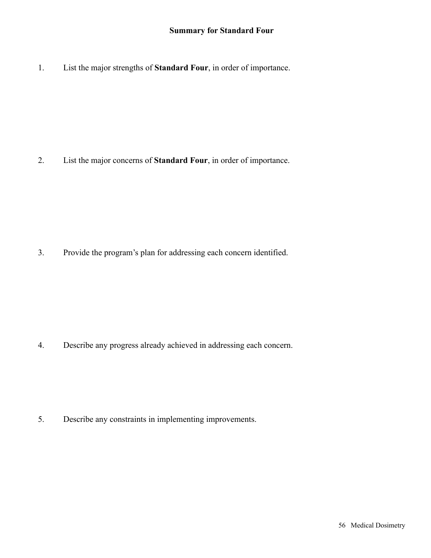1. List the major strengths of **Standard Four**, in order of importance.

2. List the major concerns of **Standard Four**, in order of importance.

3. Provide the program's plan for addressing each concern identified.

4. Describe any progress already achieved in addressing each concern.

5. Describe any constraints in implementing improvements.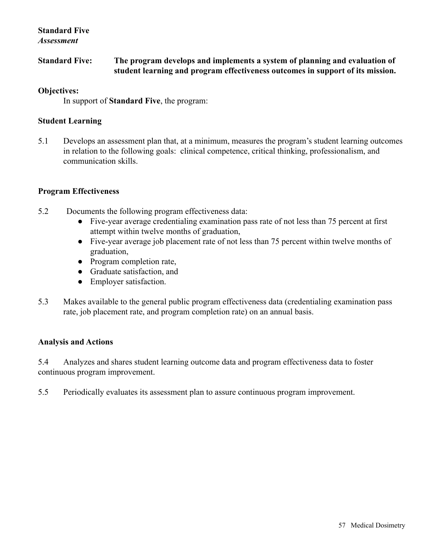#### **Standard Five** *Assessment*

# **Standard Five: The program develops and implements a system of planning and evaluation of student learning and program effectiveness outcomes in support of its mission.**

#### **Objectives:**

In support of **Standard Five**, the program:

#### **Student Learning**

5.1 Develops an assessment plan that, at a minimum, measures the program's student learning outcomes in relation to the following goals: clinical competence, critical thinking, professionalism, and communication skills.

### **Program Effectiveness**

- 5.2 Documents the following program effectiveness data:
	- Five-year average credentialing examination pass rate of not less than 75 percent at first attempt within twelve months of graduation,
	- Five-year average job placement rate of not less than 75 percent within twelve months of graduation,
	- Program completion rate,
	- Graduate satisfaction, and
	- Employer satisfaction.
- 5.3 Makes available to the general public program effectiveness data (credentialing examination pass rate, job placement rate, and program completion rate) on an annual basis.

#### **Analysis and Actions**

5.4 Analyzes and shares student learning outcome data and program effectiveness data to foster continuous program improvement.

5.5 Periodically evaluates its assessment plan to assure continuous program improvement.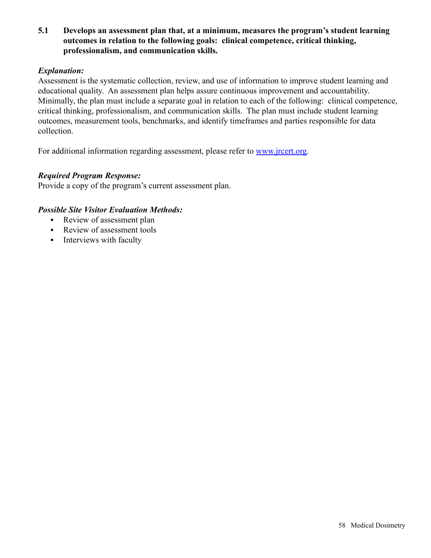# **5.1 Develops an assessment plan that, at a minimum, measures the program's student learning outcomes in relation to the following goals: clinical competence, critical thinking, professionalism, and communication skills.**

# *Explanation:*

Assessment is the systematic collection, review, and use of information to improve student learning and educational quality. An assessment plan helps assure continuous improvement and accountability. Minimally, the plan must include a separate goal in relation to each of the following: clinical competence, critical thinking, professionalism, and communication skills. The plan must include student learning outcomes, measurement tools, benchmarks, and identify timeframes and parties responsible for data collection.

For additional information regarding assessment, please refer to [www.jrcert.org.](http://www.jrcert.org)

## *Required Program Response:*

Provide a copy of the program's current assessment plan.

- Review of assessment plan
- Review of assessment tools
- **•** Interviews with faculty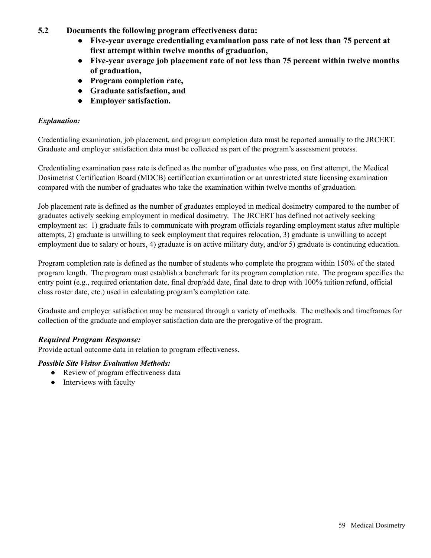- **5.2 Documents the following program effectiveness data:**
	- **Five-year average credentialing examination pass rate of not less than 75 percent at first attempt within twelve months of graduation,**
	- **Five-year average job placement rate of not less than 75 percent within twelve months of graduation,**
	- **Program completion rate,**
	- **Graduate satisfaction, and**
	- **Employer satisfaction.**

#### *Explanation:*

Credentialing examination, job placement, and program completion data must be reported annually to the JRCERT. Graduate and employer satisfaction data must be collected as part of the program's assessment process.

Credentialing examination pass rate is defined as the number of graduates who pass, on first attempt, the Medical Dosimetrist Certification Board (MDCB) certification examination or an unrestricted state licensing examination compared with the number of graduates who take the examination within twelve months of graduation.

Job placement rate is defined as the number of graduates employed in medical dosimetry compared to the number of graduates actively seeking employment in medical dosimetry. The JRCERT has defined not actively seeking employment as: 1) graduate fails to communicate with program officials regarding employment status after multiple attempts, 2) graduate is unwilling to seek employment that requires relocation, 3) graduate is unwilling to accept employment due to salary or hours, 4) graduate is on active military duty, and/or 5) graduate is continuing education.

Program completion rate is defined as the number of students who complete the program within 150% of the stated program length. The program must establish a benchmark for its program completion rate. The program specifies the entry point (e.g., required orientation date, final drop/add date, final date to drop with 100% tuition refund, official class roster date, etc.) used in calculating program's completion rate.

Graduate and employer satisfaction may be measured through a variety of methods. The methods and timeframes for collection of the graduate and employer satisfaction data are the prerogative of the program.

# *Required Program Response:*

Provide actual outcome data in relation to program effectiveness.

- Review of program effectiveness data
- Interviews with faculty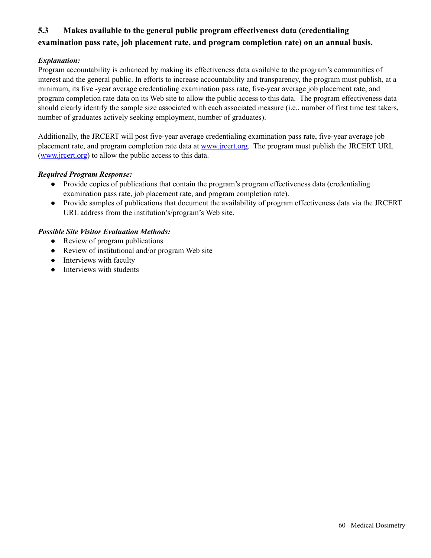# **5.3 Makes available to the general public program effectiveness data (credentialing examination pass rate, job placement rate, and program completion rate) on an annual basis.**

#### *Explanation:*

Program accountability is enhanced by making its effectiveness data available to the program's communities of interest and the general public. In efforts to increase accountability and transparency, the program must publish, at a minimum, its five -year average credentialing examination pass rate, five-year average job placement rate, and program completion rate data on its Web site to allow the public access to this data. The program effectiveness data should clearly identify the sample size associated with each associated measure (i.e., number of first time test takers, number of graduates actively seeking employment, number of graduates).

Additionally, the JRCERT will post five-year average credentialing examination pass rate, five-year average job placement rate, and program completion rate data at [www.jrcert.org.](http://www.jrcert.org) The program must publish the JRCERT URL ([www.jrcert.org\)](http://www.jrcert.org) to allow the public access to this data.

#### *Required Program Response:*

- Provide copies of publications that contain the program's program effectiveness data (credentialing examination pass rate, job placement rate, and program completion rate).
- Provide samples of publications that document the availability of program effectiveness data via the JRCERT URL address from the institution's/program's Web site.

- Review of program publications
- Review of institutional and/or program Web site
- Interviews with faculty
- Interviews with students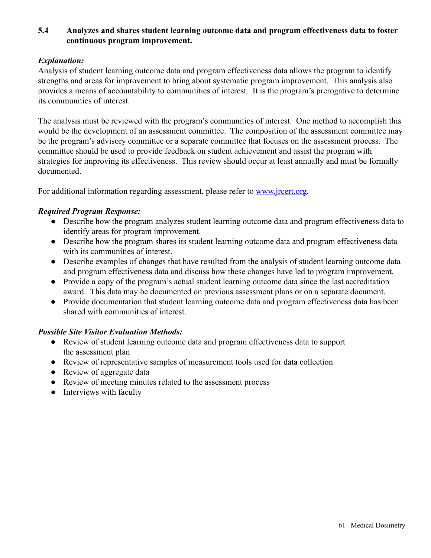# **5.4 Analyzes and shares student learning outcome data and program effectiveness data to foster continuous program improvement.**

# *Explanation:*

Analysis of student learning outcome data and program effectiveness data allows the program to identify strengths and areas for improvement to bring about systematic program improvement. This analysis also provides a means of accountability to communities of interest. It is the program's prerogative to determine its communities of interest.

The analysis must be reviewed with the program's communities of interest. One method to accomplish this would be the development of an assessment committee. The composition of the assessment committee may be the program's advisory committee or a separate committee that focuses on the assessment process. The committee should be used to provide feedback on student achievement and assist the program with strategies for improving its effectiveness. This review should occur at least annually and must be formally documented.

For additional information regarding assessment, please refer to [www.jrcert.org.](http://www.jrcert.org)

### *Required Program Response:*

- Describe how the program analyzes student learning outcome data and program effectiveness data to identify areas for program improvement.
- Describe how the program shares its student learning outcome data and program effectiveness data with its communities of interest.
- Describe examples of changes that have resulted from the analysis of student learning outcome data and program effectiveness data and discuss how these changes have led to program improvement.
- Provide a copy of the program's actual student learning outcome data since the last accreditation award. This data may be documented on previous assessment plans or on a separate document.
- Provide documentation that student learning outcome data and program effectiveness data has been shared with communities of interest.

- Review of student learning outcome data and program effectiveness data to support the assessment plan
- Review of representative samples of measurement tools used for data collection
- Review of aggregate data
- Review of meeting minutes related to the assessment process
- Interviews with faculty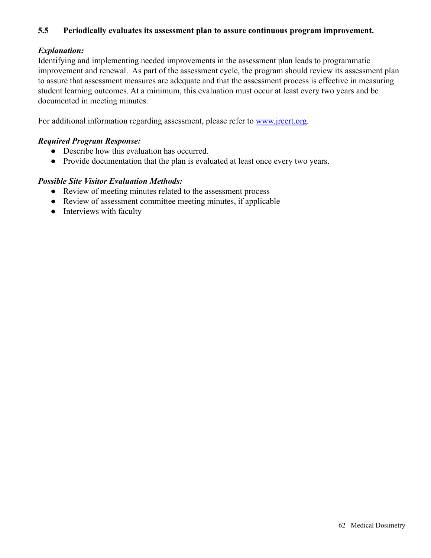## **5.5 Periodically evaluates its assessment plan to assure continuous program improvement.**

# *Explanation:*

Identifying and implementing needed improvements in the assessment plan leads to programmatic improvement and renewal. As part of the assessment cycle, the program should review its assessment plan to assure that assessment measures are adequate and that the assessment process is effective in measuring student learning outcomes. At a minimum, this evaluation must occur at least every two years and be documented in meeting minutes.

For additional information regarding assessment, please refer to [www.jrcert.org.](http://www.jrcert.org)

#### *Required Program Response:*

- Describe how this evaluation has occurred.
- Provide documentation that the plan is evaluated at least once every two years.

- Review of meeting minutes related to the assessment process
- Review of assessment committee meeting minutes, if applicable
- Interviews with faculty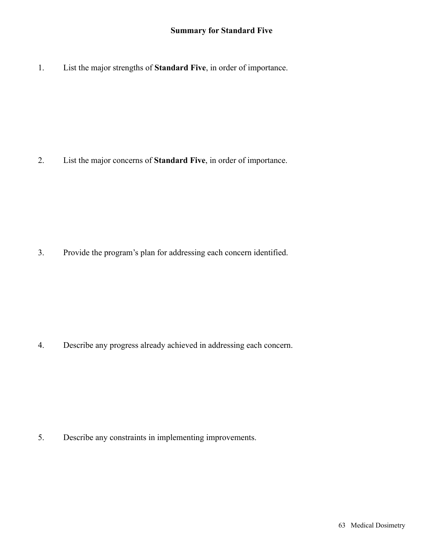1. List the major strengths of **Standard Five**, in order of importance.

2. List the major concerns of **Standard Five**, in order of importance.

3. Provide the program's plan for addressing each concern identified.

4. Describe any progress already achieved in addressing each concern.

5. Describe any constraints in implementing improvements.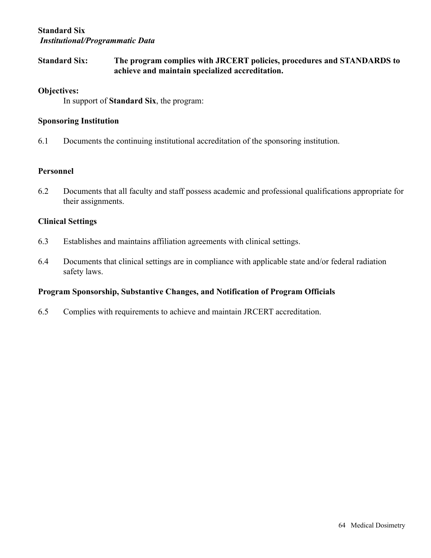# **Standard Six** *Institutional/Programmatic Data*

## **Standard Six: The program complies with JRCERT policies, procedures and STANDARDS to achieve and maintain specialized accreditation.**

#### **Objectives:**

In support of **Standard Six**, the program:

#### **Sponsoring Institution**

6.1 Documents the continuing institutional accreditation of the sponsoring institution.

### **Personnel**

6.2 Documents that all faculty and staff possess academic and professional qualifications appropriate for their assignments.

### **Clinical Settings**

- 6.3 Establishes and maintains affiliation agreements with clinical settings.
- 6.4 Documents that clinical settings are in compliance with applicable state and/or federal radiation safety laws.

#### **Program Sponsorship, Substantive Changes, and Notification of Program Officials**

6.5 Complies with requirements to achieve and maintain JRCERT accreditation.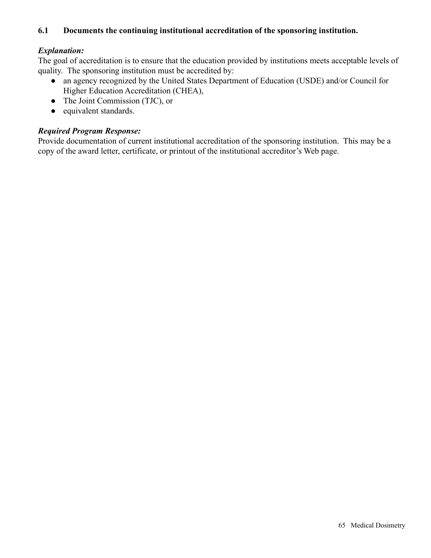# **6.1 Documents the continuing institutional accreditation of the sponsoring institution.**

# *Explanation:*

The goal of accreditation is to ensure that the education provided by institutions meets acceptable levels of quality. The sponsoring institution must be accredited by:

- an agency recognized by the United States Department of Education (USDE) and/or Council for Higher Education Accreditation (CHEA),
- The Joint Commission (TJC), or
- equivalent standards.

# *Required Program Response:*

Provide documentation of current institutional accreditation of the sponsoring institution. This may be a copy of the award letter, certificate, or printout of the institutional accreditor's Web page.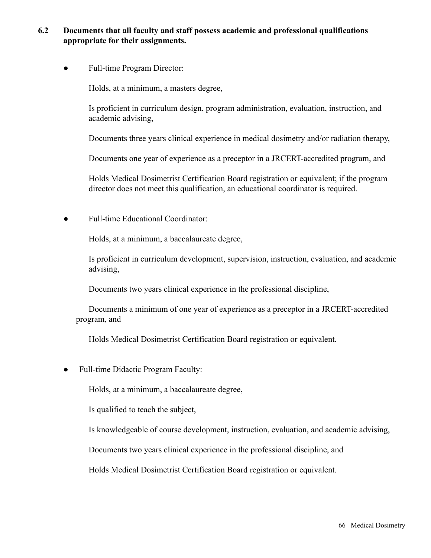## **6.2 Documents that all faculty and staff possess academic and professional qualifications appropriate for their assignments.**

• Full-time Program Director:

Holds, at a minimum, a masters degree,

Is proficient in curriculum design, program administration, evaluation, instruction, and academic advising,

Documents three years clinical experience in medical dosimetry and/or radiation therapy,

Documents one year of experience as a preceptor in a JRCERT-accredited program, and

Holds Medical Dosimetrist Certification Board registration or equivalent; if the program director does not meet this qualification, an educational coordinator is required.

Full-time Educational Coordinator:

Holds, at a minimum, a baccalaureate degree,

Is proficient in curriculum development, supervision, instruction, evaluation, and academic advising,

Documents two years clinical experience in the professional discipline,

Documents a minimum of one year of experience as a preceptor in a JRCERT-accredited program, and

Holds Medical Dosimetrist Certification Board registration or equivalent.

Full-time Didactic Program Faculty:

Holds, at a minimum, a baccalaureate degree,

Is qualified to teach the subject,

Is knowledgeable of course development, instruction, evaluation, and academic advising,

Documents two years clinical experience in the professional discipline, and

Holds Medical Dosimetrist Certification Board registration or equivalent.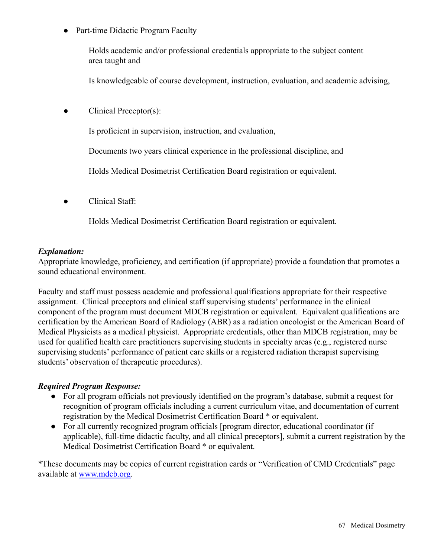• Part-time Didactic Program Faculty

Holds academic and/or professional credentials appropriate to the subject content area taught and

Is knowledgeable of course development, instruction, evaluation, and academic advising,

Clinical Preceptor(s):

Is proficient in supervision, instruction, and evaluation,

Documents two years clinical experience in the professional discipline, and

Holds Medical Dosimetrist Certification Board registration or equivalent.

Clinical Staff:

Holds Medical Dosimetrist Certification Board registration or equivalent.

### *Explanation:*

Appropriate knowledge, proficiency, and certification (if appropriate) provide a foundation that promotes a sound educational environment.

Faculty and staff must possess academic and professional qualifications appropriate for their respective assignment. Clinical preceptors and clinical staff supervising students' performance in the clinical component of the program must document MDCB registration or equivalent. Equivalent qualifications are certification by the American Board of Radiology (ABR) as a radiation oncologist or the American Board of Medical Physicists as a medical physicist. Appropriate credentials, other than MDCB registration, may be used for qualified health care practitioners supervising students in specialty areas (e.g., registered nurse supervising students' performance of patient care skills or a registered radiation therapist supervising students' observation of therapeutic procedures).

#### *Required Program Response:*

- For all program officials not previously identified on the program's database, submit a request for recognition of program officials including a current curriculum vitae, and documentation of current registration by the Medical Dosimetrist Certification Board \* or equivalent.
- For all currently recognized program officials [program director, educational coordinator (if applicable), full-time didactic faculty, and all clinical preceptors], submit a current registration by the Medical Dosimetrist Certification Board \* or equivalent.

\*These documents may be copies of current registration cards or "Verification of CMD Credentials" page available at [www.mdcb.org.](http://www.mdcb.org)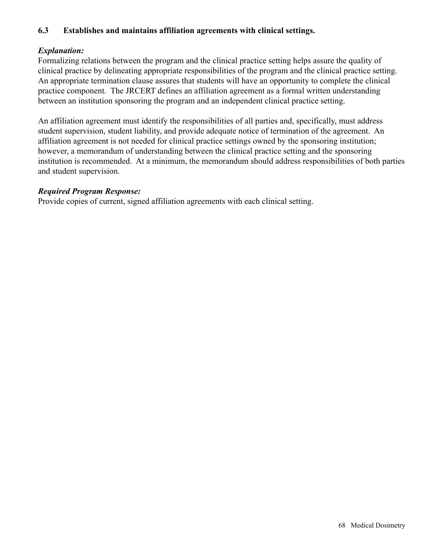# **6.3 Establishes and maintains affiliation agreements with clinical settings.**

# *Explanation:*

Formalizing relations between the program and the clinical practice setting helps assure the quality of clinical practice by delineating appropriate responsibilities of the program and the clinical practice setting. An appropriate termination clause assures that students will have an opportunity to complete the clinical practice component. The JRCERT defines an affiliation agreement as a formal written understanding between an institution sponsoring the program and an independent clinical practice setting.

An affiliation agreement must identify the responsibilities of all parties and, specifically, must address student supervision, student liability, and provide adequate notice of termination of the agreement. An affiliation agreement is not needed for clinical practice settings owned by the sponsoring institution; however, a memorandum of understanding between the clinical practice setting and the sponsoring institution is recommended. At a minimum, the memorandum should address responsibilities of both parties and student supervision.

### *Required Program Response:*

Provide copies of current, signed affiliation agreements with each clinical setting.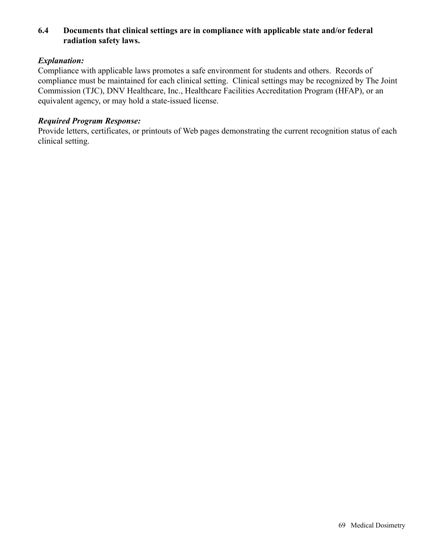# **6.4 Documents that clinical settings are in compliance with applicable state and/or federal radiation safety laws.**

# *Explanation:*

Compliance with applicable laws promotes a safe environment for students and others. Records of compliance must be maintained for each clinical setting. Clinical settings may be recognized by The Joint Commission (TJC), DNV Healthcare, Inc., Healthcare Facilities Accreditation Program (HFAP), or an equivalent agency, or may hold a state-issued license.

# *Required Program Response:*

Provide letters, certificates, or printouts of Web pages demonstrating the current recognition status of each clinical setting.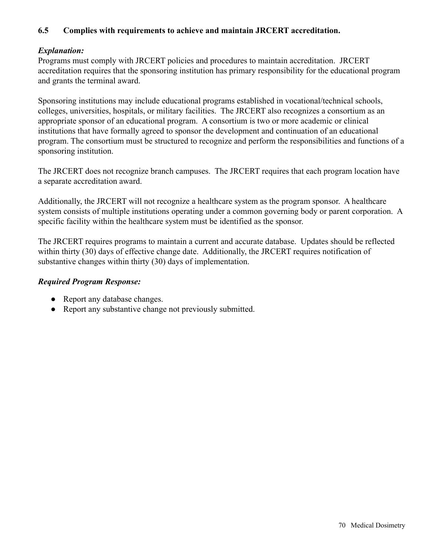# **6.5 Complies with requirements to achieve and maintain JRCERT accreditation.**

# *Explanation:*

Programs must comply with JRCERT policies and procedures to maintain accreditation. JRCERT accreditation requires that the sponsoring institution has primary responsibility for the educational program and grants the terminal award.

Sponsoring institutions may include educational programs established in vocational/technical schools, colleges, universities, hospitals, or military facilities. The JRCERT also recognizes a consortium as an appropriate sponsor of an educational program. A consortium is two or more academic or clinical institutions that have formally agreed to sponsor the development and continuation of an educational program. The consortium must be structured to recognize and perform the responsibilities and functions of a sponsoring institution.

The JRCERT does not recognize branch campuses. The JRCERT requires that each program location have a separate accreditation award.

Additionally, the JRCERT will not recognize a healthcare system as the program sponsor. A healthcare system consists of multiple institutions operating under a common governing body or parent corporation. A specific facility within the healthcare system must be identified as the sponsor.

The JRCERT requires programs to maintain a current and accurate database. Updates should be reflected within thirty (30) days of effective change date. Additionally, the JRCERT requires notification of substantive changes within thirty (30) days of implementation.

# *Required Program Response:*

- Report any database changes.
- Report any substantive change not previously submitted.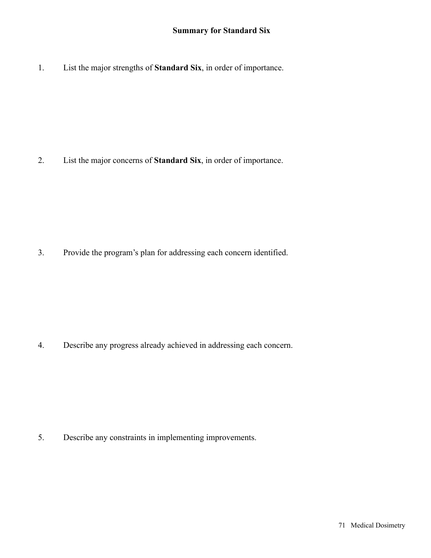1. List the major strengths of **Standard Six**, in order of importance.

2. List the major concerns of **Standard Six**, in order of importance.

3. Provide the program's plan for addressing each concern identified.

4. Describe any progress already achieved in addressing each concern.

5. Describe any constraints in implementing improvements.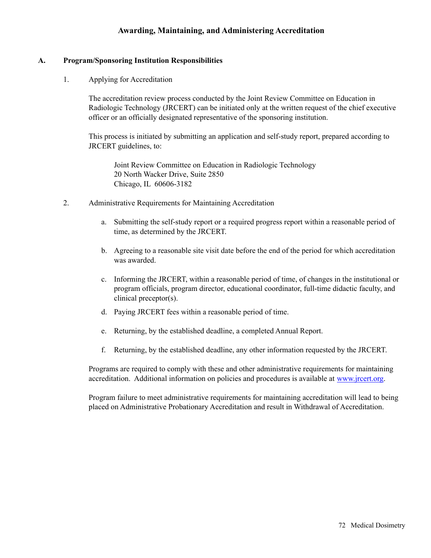#### **Awarding, Maintaining, and Administering Accreditation**

#### **A. Program/Sponsoring Institution Responsibilities**

1. Applying for Accreditation

The accreditation review process conducted by the Joint Review Committee on Education in Radiologic Technology (JRCERT) can be initiated only at the written request of the chief executive officer or an officially designated representative of the sponsoring institution.

This process is initiated by submitting an application and self-study report, prepared according to JRCERT guidelines, to:

Joint Review Committee on Education in Radiologic Technology 20 North Wacker Drive, Suite 2850 Chicago, IL 60606-3182

- 2. Administrative Requirements for Maintaining Accreditation
	- a. Submitting the self-study report or a required progress report within a reasonable period of time, as determined by the JRCERT.
	- b. Agreeing to a reasonable site visit date before the end of the period for which accreditation was awarded.
	- c. Informing the JRCERT, within a reasonable period of time, of changes in the institutional or program officials, program director, educational coordinator, full-time didactic faculty, and clinical preceptor(s).
	- d. Paying JRCERT fees within a reasonable period of time.
	- e. Returning, by the established deadline, a completed Annual Report.
	- f. Returning, by the established deadline, any other information requested by the JRCERT.

Programs are required to comply with these and other administrative requirements for maintaining accreditation. Additional information on policies and procedures is available at [www.jrcert.org](http://www.jrcert.org).

Program failure to meet administrative requirements for maintaining accreditation will lead to being placed on Administrative Probationary Accreditation and result in Withdrawal of Accreditation.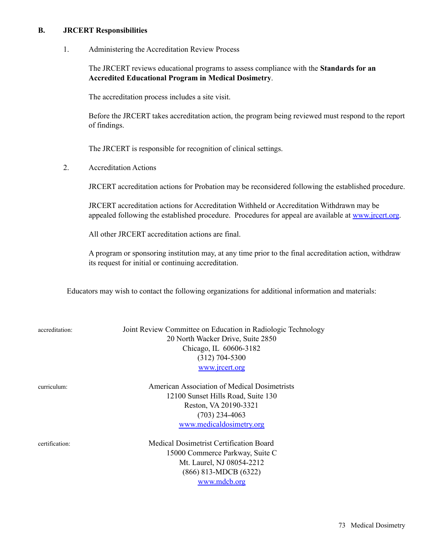## **B. JRCERT Responsibilities**

1. Administering the Accreditation Review Process

The JRCERT reviews educational programs to assess compliance with the **Standards for an Accredited Educational Program in Medical Dosimetry**.

The accreditation process includes a site visit.

Before the JRCERT takes accreditation action, the program being reviewed must respond to the report of findings.

The JRCERT is responsible for recognition of clinical settings.

2. Accreditation Actions

JRCERT accreditation actions for Probation may be reconsidered following the established procedure.

JRCERT accreditation actions for Accreditation Withheld or Accreditation Withdrawn may be appealed following the established procedure. Procedures for appeal are available at [www.jrcert.org](http://www.jrcert.org).

All other JRCERT accreditation actions are final.

A program or sponsoring institution may, at any time prior to the final accreditation action, withdraw its request for initial or continuing accreditation.

Educators may wish to contact the following organizations for additional information and materials:

Joint Review Committee on Education in Radiologic Technology 20 North Wacker Drive, Suite 2850 Chicago, IL 60606-3182 (312) 704-5300 [www.jrcert.org](http://www.jrcert.org)

curriculum: American Association of Medical Dosimetrists 12100 Sunset Hills Road, Suite 130 Reston, VA 20190-3321 (703) 234-4063 [www.medicaldosimetry.org](http://www.medicaldosimetry.org)

certification: Medical Dosimetrist Certification Board 15000 Commerce Parkway, Suite C Mt. Laurel, NJ 08054-2212 (866) 813-MDCB (6322) [www.mdcb.org](http://www.mdcb.org)